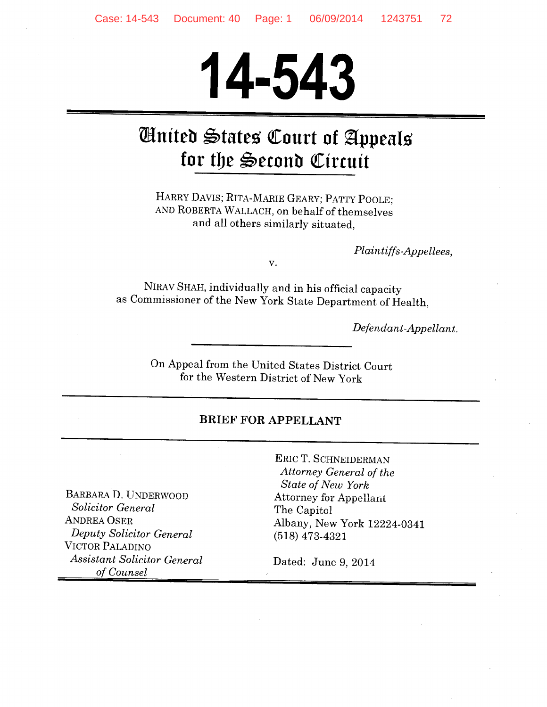# **14-543**

# **Wniteb \$?tates QCourt of** ~ppeals for the Second Circuit

HARRY DAVIS; RITA-MARIE GEARY; PATTY POOLE; AND ROBERTA WALLACH, on behalf of themselves and all others similarly situated,

*Plaintiffs-Appellees,* 

v.

NIRAV SHAH, individually and in his official capacity as Commissioner of the New York State Department of Health,

*Defendant-Appellant.* 

On Appeal from the United States District Court for the Western District of New York

#### BRIEF FOR APPELLANT

BARBARA. D. UNDERWOOD *Solicitor General*  ANDREA OSER *Deputy Solicitor General*  VICTOR PALADINO *Assistant Solicitor General of Counsel* 

ERIC T. SCHNEIDERMAN *Attorney General of the State of New York*  Attorney for Appellant The Capitol Albany, New York 12224-0341 (518) 473-4321

Dated: June 9, 2014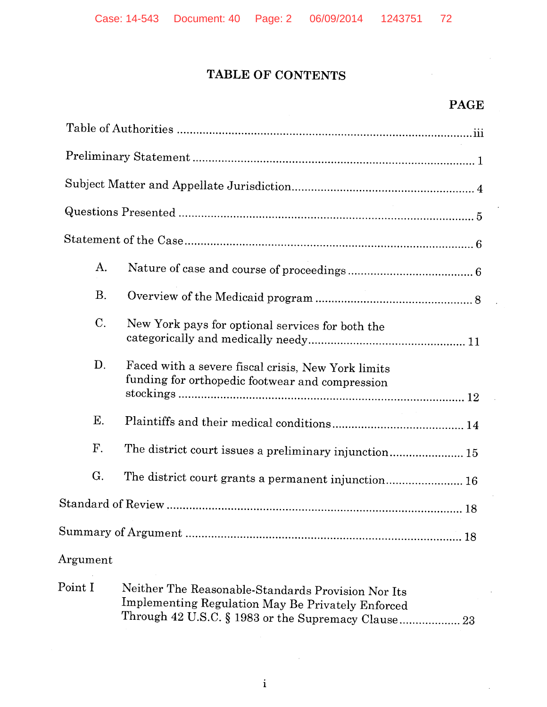#### **TABLE OF CONTENTS**

#### **PAGE**

 $\bar{z}$ 

| А.              |                                                                                                                                                                |
|-----------------|----------------------------------------------------------------------------------------------------------------------------------------------------------------|
| <b>B.</b>       |                                                                                                                                                                |
| C.              | New York pays for optional services for both the                                                                                                               |
| D.              | Faced with a severe fiscal crisis, New York limits<br>funding for orthopedic footwear and compression                                                          |
| Ε.              |                                                                                                                                                                |
| F.              | The district court issues a preliminary injunction 15                                                                                                          |
| G.              | The district court grants a permanent injunction 16                                                                                                            |
|                 |                                                                                                                                                                |
|                 |                                                                                                                                                                |
| $\rm{Argument}$ |                                                                                                                                                                |
| $\rm Point~I$   | Neither The Reasonable-Standards Provision Nor Its<br>Implementing Regulation May Be Privately Enforced<br>Through 42 U.S.C. § 1983 or the Supremacy Clause 23 |

 $\mathcal{A}$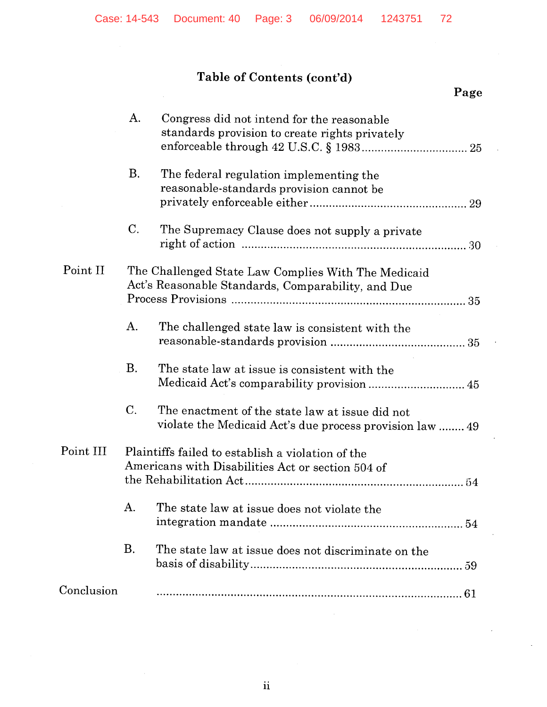# **Table of Contents (cont'd)**

|           |                |                                                                                                             | Page |
|-----------|----------------|-------------------------------------------------------------------------------------------------------------|------|
|           | $\mathbf{A}$ . | Congress did not intend for the reasonable<br>standards provision to create rights privately                |      |
|           | <b>B.</b>      | The federal regulation implementing the<br>reasonable-standards provision cannot be                         |      |
|           | C.             | The Supremacy Clause does not supply a private                                                              |      |
| Point II  |                | The Challenged State Law Complies With The Medicaid<br>Act's Reasonable Standards, Comparability, and Due   |      |
|           | A.             | The challenged state law is consistent with the                                                             |      |
|           | Β.             | The state law at issue is consistent with the                                                               |      |
|           | $C$ .          | The enactment of the state law at issue did not<br>violate the Medicaid Act's due process provision law  49 |      |
| Point III |                | Plaintiffs failed to establish a violation of the<br>Americans with Disabilities Act or section 504 of      | 54   |
|           | Α.             | The state law at issue does not violate the                                                                 |      |
|           | <b>B.</b>      | The state law at issue does not discriminate on the                                                         |      |

# Conclusion ............................................................................................... 61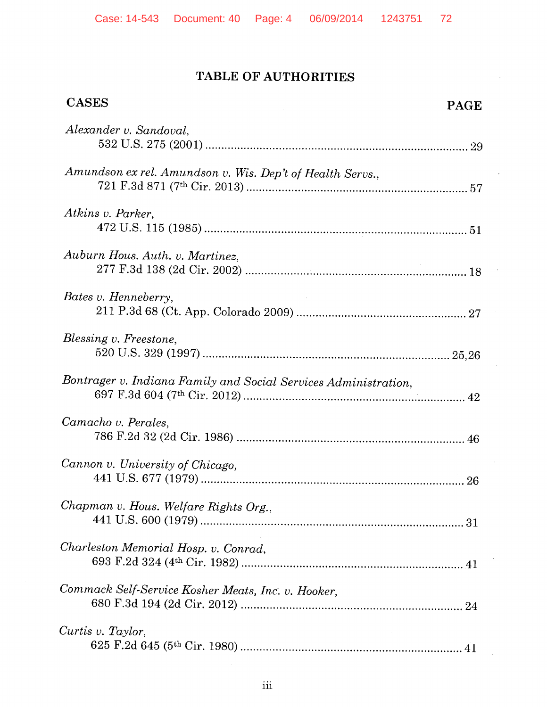## **TABLE OF AUTHORITIES**

| <b>CASES</b>                                                    | <b>PAGE</b> |
|-----------------------------------------------------------------|-------------|
| Alexander v. Sandoval,                                          |             |
| Amundson ex rel. Amundson v. Wis. Dep't of Health Servs.,       |             |
| Atkins v. Parker.                                               |             |
| Auburn Hous. Auth. v. Martinez,                                 |             |
| Bates v. Henneberry,                                            |             |
| Blessing v. Freestone,                                          |             |
| Bontrager v. Indiana Family and Social Services Administration, |             |
| Camacho v. Perales,                                             |             |
| Cannon v. University of Chicago,                                |             |
| Chapman v. Hous. Welfare Rights Org.,                           |             |
| Charleston Memorial Hosp. v. Conrad,                            |             |
| Commack Self-Service Kosher Meats, Inc. v. Hooker,              |             |
| Curtis v. Taylor,                                               |             |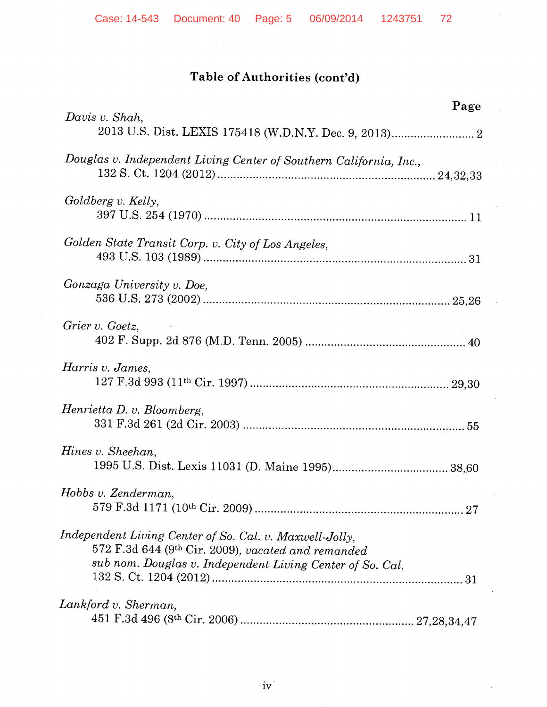# Table of Authorities (cont'd)

| Page<br>Davis v. Shah,                                                                                                                                                     |
|----------------------------------------------------------------------------------------------------------------------------------------------------------------------------|
|                                                                                                                                                                            |
| Douglas v. Independent Living Center of Southern California, Inc.,                                                                                                         |
| Goldberg v. Kelly,                                                                                                                                                         |
| Golden State Transit Corp. v. City of Los Angeles,                                                                                                                         |
| Gonzaga University v. Doe,                                                                                                                                                 |
| Grier v. Goetz,                                                                                                                                                            |
| Harris v. James,                                                                                                                                                           |
| Henrietta D. v. Bloomberg,                                                                                                                                                 |
| Hines v. Sheehan,                                                                                                                                                          |
| Hobbs v. Zenderman,                                                                                                                                                        |
| Independent Living Center of So. Cal. v. Maxwell-Jolly,<br>572 F.3d 644 (9th Cir. 2009), vacated and remanded<br>sub nom. Douglas v. Independent Living Center of So. Cal, |
| Lankford v. Sherman,                                                                                                                                                       |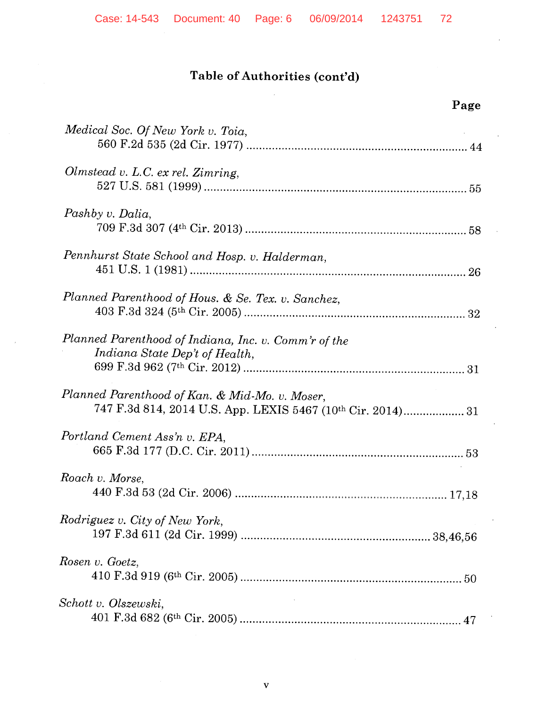| Page                                                                                                          |
|---------------------------------------------------------------------------------------------------------------|
| Medical Soc. Of New York v. Toia,                                                                             |
| Olmstead v. L.C. ex rel. Zimring,                                                                             |
| Pashby v. Dalia,                                                                                              |
| Pennhurst State School and Hosp. v. Halderman,                                                                |
| Planned Parenthood of Hous. & Se. Tex. v. Sanchez,                                                            |
| Planned Parenthood of Indiana, Inc. v. Comm'r of the<br>Indiana State Dep't of Health,                        |
| Planned Parenthood of Kan. & Mid-Mo. v. Moser,<br>747 F.3d 814, 2014 U.S. App. LEXIS 5467 (10th Cir. 2014) 31 |
| Portland Cement Ass'n v. EPA,                                                                                 |
| Roach v. Morse,<br>17,18                                                                                      |
| Rodriguez v. City of New York,                                                                                |
| Rosen v. Goetz,                                                                                               |
| Schott v. Olszewski,                                                                                          |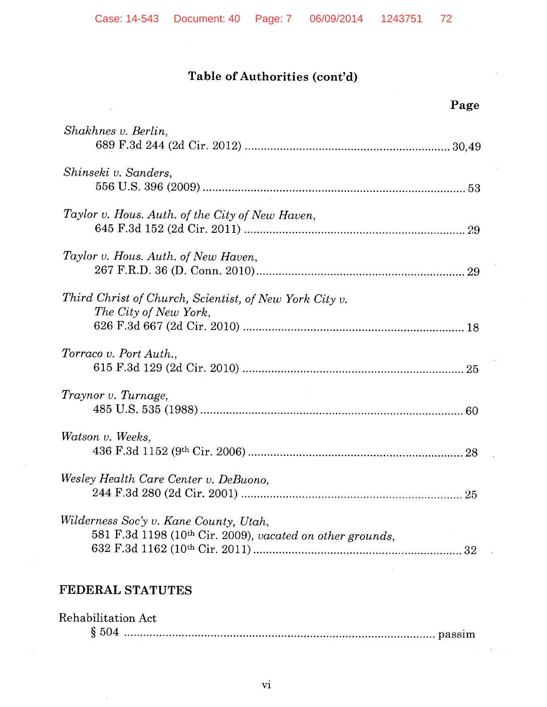## **Table of Authorities (cont'd)**

| Page                                                                                                      |
|-----------------------------------------------------------------------------------------------------------|
| Shakhnes v. Berlin,                                                                                       |
| Shinseki v. Sanders,                                                                                      |
| Taylor v. Hous. Auth. of the City of New Haven,                                                           |
| Taylor v. Hous. Auth. of New Haven,                                                                       |
| Third Christ of Church, Scientist, of New York City v.<br>The City of New York,                           |
| Torraco v. Port Auth.,                                                                                    |
| Traynor v. Turnage,                                                                                       |
| Watson v. Weeks,                                                                                          |
| Wesley Health Care Center v. DeBuono,<br>25                                                               |
| Wilderness Soc'y v. Kane County, Utah,<br>581 F.3d 1198 (10th Cir. 2009), vacated on other grounds,<br>32 |

# **FEDERAL STATUTES**

| Rehabilitation Act |  |
|--------------------|--|
|                    |  |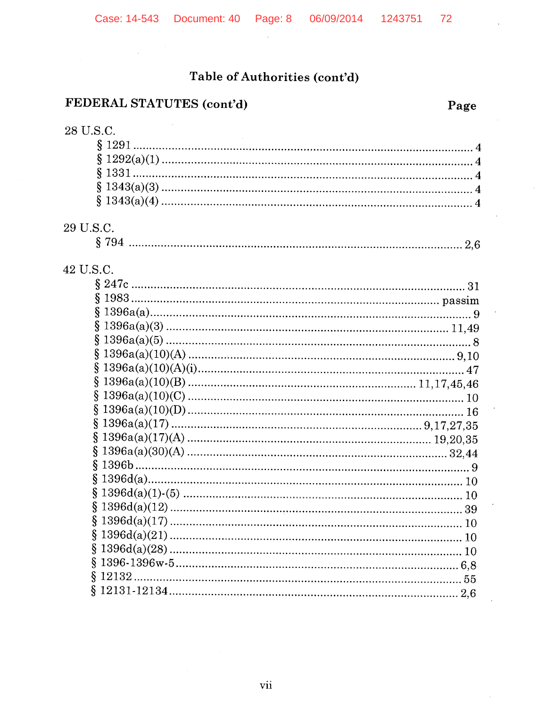$\sim 10$ 

## Table of Authorities (cont'd)

## FEDERAL STATUTES (cont'd)

 $\mathcal{A}$ 

## 28 U.S.C.

#### 29 U.S.C.

|--|--|

# 42 U.S.C.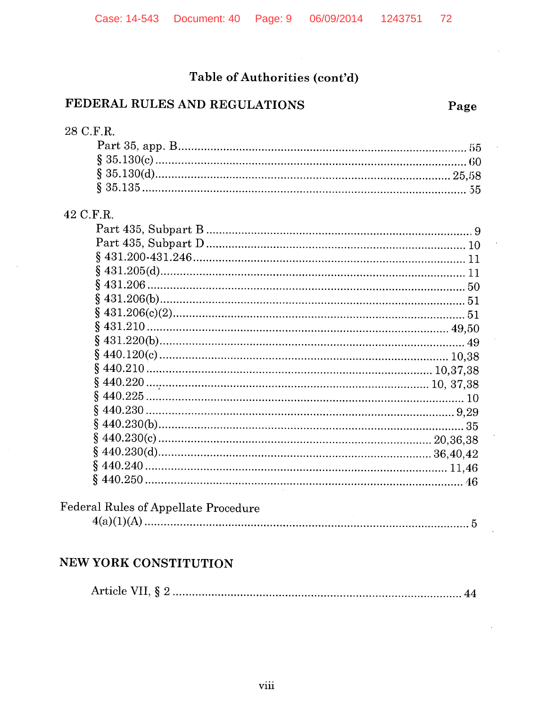## Table of Authorities (cont'd)

#### FEDERAL RULES AND REGULATIONS

72

#### 42 C.F.R.

## Federal Rules of Appellate Procedure

|--|

#### NEW YORK CONSTITUTION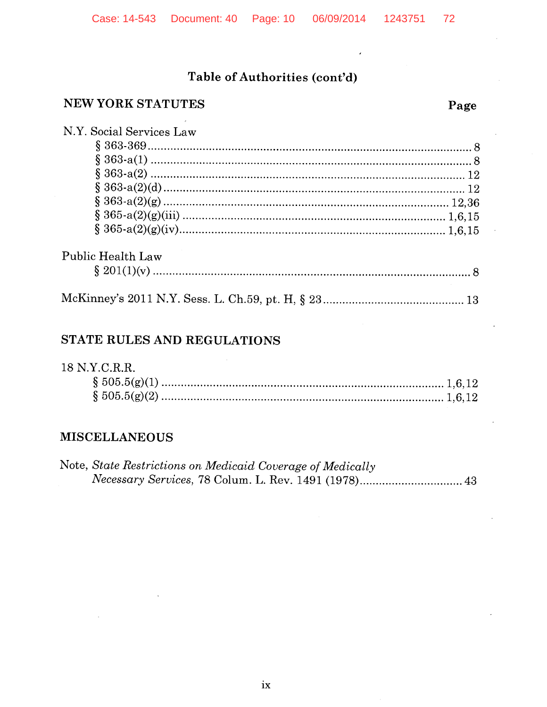$\overline{\phantom{a}}$ 

## Table of Authorities (cont'd)

## NEW YORK STATUTES

| N.Y. Social Services Law |  |
|--------------------------|--|
|                          |  |
|                          |  |
|                          |  |
|                          |  |
|                          |  |
|                          |  |
|                          |  |
| <b>Public Health Law</b> |  |
|                          |  |
|                          |  |

## STATE RULES AND REGULATIONS

 $\hat{\mathcal{A}}$ 

| 18 N.Y.C.R.R. |  |
|---------------|--|
|               |  |
|               |  |

#### **MISCELLANEOUS**

| Note, State Restrictions on Medicaid Coverage of Medically |  |
|------------------------------------------------------------|--|
|                                                            |  |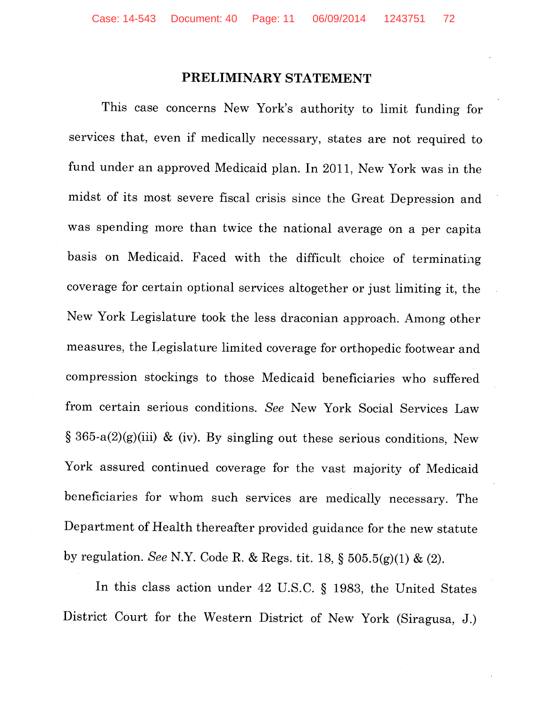#### **PRELIMINARY STATEMENT**

This case concerns New York's authority to limit funding for services that, even if medically necessary, states are not required to fund under an approved Medicaid plan. In 2011, New York was in the midst of its most severe fiscal crisis since the Great Depression and was spending more than twice the national average on a per capita basis on Medicaid. Faced with the difficult choice of terminating coverage for certain optional services altogether or just limiting it, the New York Legislature took the less draconian approach. Among other measures, the Legislature limited coverage for orthopedic footwear and compression stockings to those Medicaid beneficiaries who suffered from certain serious conditions. *See* New York Social Services Law § 365-a(2)(g)(iii) & (iv). By singling out these serious conditions, New York assured continued coverage for the vast majority of Medicaid beneficiaries for whom such services are medically necessary. The Department of Health thereafter provided guidance for the new statute by regulation. *See* N.Y. Code R. & Regs. tit. 18, § 505.5(g)(l) & (2).

In this class action under 42 U.S.C. § 1983, the United States District Court for the Western District of New York (Siragusa, J.)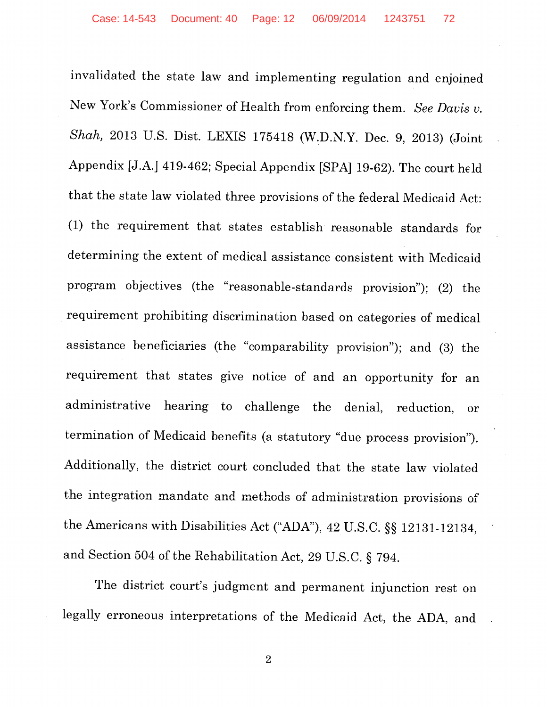invalidated the state law and implementing regulation and enjoined New York's Commissioner of Health from enforcing them. *See Davis v. Shah,* 2013 U.S. Dist. LEXIS 175418 (W:D.N.Y. Dec. 9, 2013) (Joint Appendix [J.A.] 419-462; Special Appendix [SPA] 19-62). The court held that the state law violated three provisions of the federal Medicaid Act: (1) the requirement that states establish reasonable standards for determining the extent of medical assistance consistent with Medicaid program objectives (the "reasonable-standards provision"); (2) the requirement prohibiting discrimination based on categories of medical assistance beneficiaries (the "comparability provision"); and (3) the requirement that states give notice of and an opportunity for an administrative hearing to challenge the denial, reduction, or termination of Medicaid benefits (a statutory "due process provision"). Additionally, the district court concluded that the state law violated the integration mandate and methods of administration provisions of the Americans with Disabilities Act ("ADA"), 42 U.S.C. §§ 12131-12134, and Section 504 of the Rehabilitation Act, 29 U.S.C. § 794.

The district court's judgment and permanent injunction rest on legally erroneous interpretations of the Medicaid Act, the ADA, and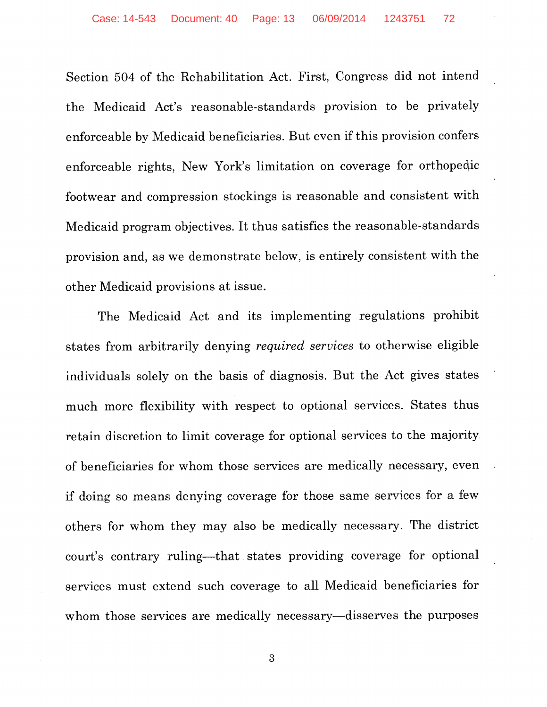Section 504 of the Rehabilitation Act. First, Congress did not intend the Medicaid Act's reasonable-standards provision to be privately enforceable by Medicaid beneficiaries. But even if this provision confers enforceable rights, New York's limitation on coverage for orthopedic footwear and compression stockings is reasonable and consistent with Medicaid program objectives. It thus satisfies the reasonable-standards provision and, as we demonstrate below, is entirely consistent with the other Medicaid provisions at issue.

The Medicaid Act and its implementing regulations prohibit states from arbitrarily denying *required services* to otherwise eligible individuals solely on the basis of diagnosis. But the Act gives states much more flexibility with respect to optional services. States thus retain discretion to limit coverage for optional services to the majority of beneficiaries for whom those services are medically necessary, even if doing so means denying coverage for those same services for a few others for whom they may also be medically necessary. The district court's contrary ruling-that. states providing coverage for optional services must extend such coverage to all Medicaid beneficiaries for whom those services are medically necessary—disserves the purposes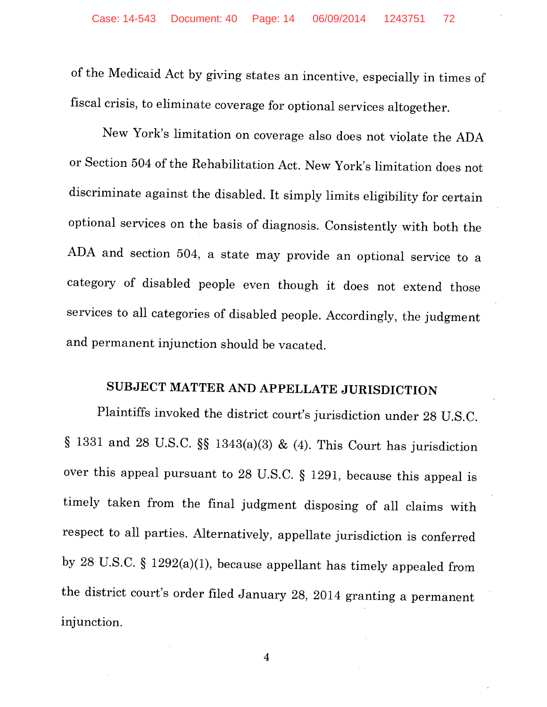of the Medicaid Act by giving states an incentive, especially in times of fiscal crisis, to eliminate coverage for optional services altogether.

New York's limitation on coverage also does not violate the ADA or Section 504 of the Rehabilitation Act. New York's limitation does not discriminate against the disabled. It simply limits eligibility for certain optional services on the basis of diagnosis. Consistently with both the ADA and section 504, a state may provide an optional service to a category of disabled people even though it does not extend those services to all categories of disabled people. Accordingly, the judgment and permanent injunction should be vacated.

# **SUBJECT MATTER AND APPELLATE JURISDICTION**

Plaintiffs invoked the district court's jurisdiction under 28 U.S.C. § 1331 and 28 U.S.C. §§ 1343(a)(3) & (4). This Court has jurisdiction over this appeal pursuant to 28 U.S.C. § 1291, because this appeal is timely taken from the final judgment disposing of all claims with respect to all parties. Alternatively, appellate jurisdiction is conferred by 28 U.S.C. § 1292(a)(l), because appellant has timely appealed from the district court's order filed January 28, 2014 granting a permanent injunction.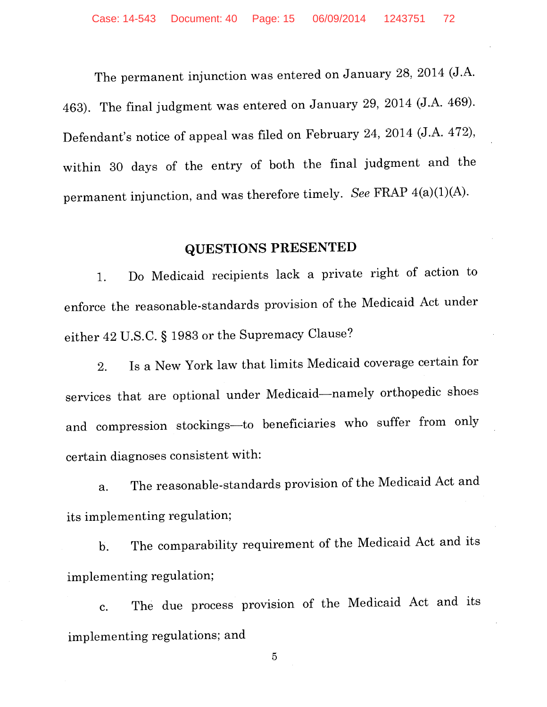The permanent injunction was entered on January 28, 2014 (J.A. 463). The final judgment was entered on January 29, 2014 (J.A. 469). Defendant's notice of appeal was filed on February 24, 2014 (J.A. 472), within 30 days of the entry of both the final judgment and the permanent injunction, and was therefore timely. *See FRAP 4(a)(1)(A)*.

## **QUESTIONS PRESENTED**

1. Do Medicaid recipients lack a private right of action to enforce the reasonable-standards provision of the Medicaid Act under either 42 U.S.C. § 1983 or the Supremacy Clause?

2. Is a New York law that limits Medicaid coverage certain for services that are optional under Medicaid-namely orthopedic shoes and compression stockings--to beneficiaries who suffer from only certain diagnoses consistent with:

a. The reasonable-standards provision of the Medicaid Act and its implementing regulation;

b. The comparability requirement of the Medicaid Act and its implementing regulation;

c. The due process provision of the Medicaid Act and its implementing regulations; and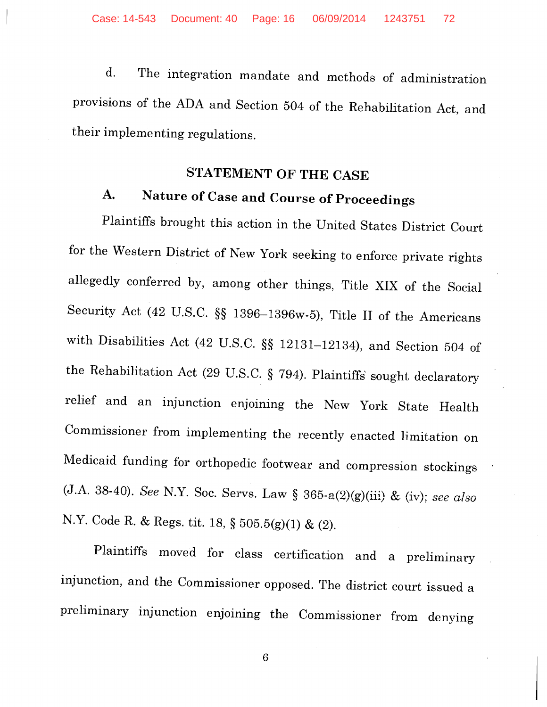d. The integration mandate and methods of administration provisions of the ADA and Section 504 of the Rehabilitation Act, and their implementing regulations.

# **STATEMENT OF THE CASE**

# **A. Nature of Case and Course of Proceedings**

Plaintiffs brought this action in the United States District Court for the Western District of New York seeking to enforce private rights allegedly conferred by, among other things, Title XIX of the Social Security Act (42 U.S.C. §§ 1396-1396w-5), Title II of the Americans with Disabilities Act (42 U.S.C. §§ 12131-12134), and Section 504 of the Rehabilitation Act (29 U.S.C. § 794). Plaintiffs' sought declaratory relief and an injunction enjoining the New York State Health Commissioner from implementing the recently enacted limitation on Medicaid funding for orthopedic footwear and compression stockings (J.A. 38-40). *See* N.Y. Soc. Servs. Law § 365-a(2)(g)(iii) & (iv); *see also*  N.Y. Code R. & Regs. tit. 18, § 505.5(g)(l) & (2).

Plaintiffs moved for class certification and a preliminary injunction, and the Commissioner opposed. The district court issued a preliminary injunction enjoining the Commissioner from denying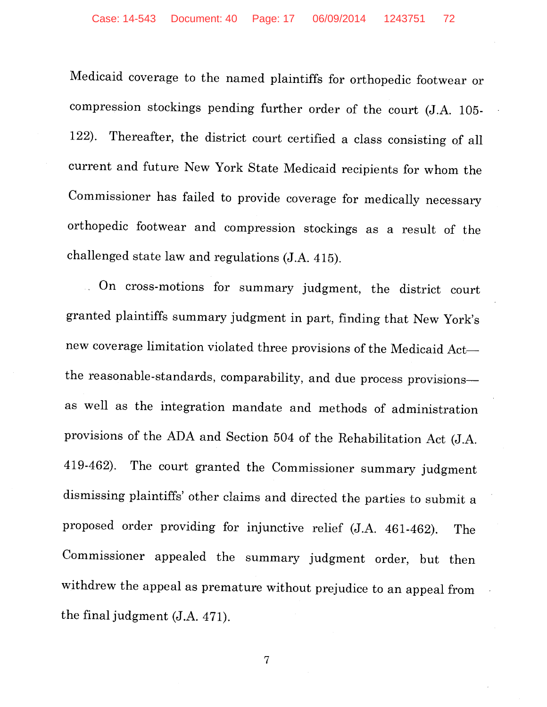Medicaid coverage to the named plaintiffs for orthopedic footwear or compression stockings pending further order of the court (J.A. 105- 122). Thereafter, the district court certified a class consisting of all current and future New York State Medicaid recipients for whom the Commissioner has failed to provide coverage for medically necessary orthopedic footwear and compression stockings as a result of the challenged state law and regulations (J.A. 415) .

. On cross-motions for summary judgment, the district court granted plaintiffs summary judgment in part, finding that New York's new coverage limitation violated three provisions of the Medicaid Actthe reasonable-standards, comparability, and due process provisionsas well as the integration mandate and methods of administration provisions of the ADA and Section 504 of the Rehabilitation Act (J.A. 419-462). The court granted the Commissioner summary judgment dismissing plaintiffs' other claims and directed the parties to submit a proposed order providing for injunctive relief (J.A. 461-462). The Commissioner appealed the summary judgment order, but then withdrew the appeal as premature without prejudice to an appeal from the final judgment  $(J.A. 471)$ .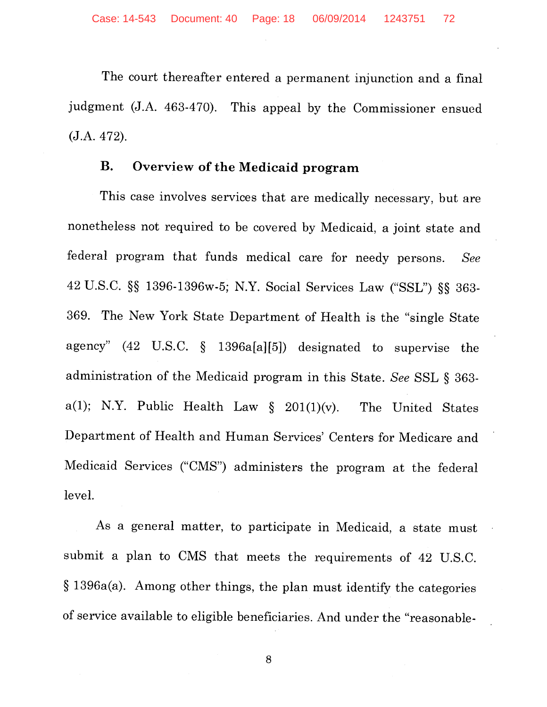The court thereafter entered a permanent injunction and a final judgment (J.A. 463-470). This appeal by the Commissioner ensued (J.A. 472).

#### **B. Overview of the Medicaid program**

This case involves services that are medically necessary, but are nonetheless not required to be covered by Medicaid, a joint state and federal program that funds medical care for needy persons. *See*  42 U.S.C. §§ 1396-1396w-5; N.Y. Social Services Law ("SSL") §§ 363- 369. The New York State Department of Health is the "single State agency" (42 U.S.C. § 1396a[a][5]) designated to supervise the administration of the Medicaid program in this State. *See* SSL § 363 a(1); N.Y. Public Health Law  $\S$  201(1)(v). The United States Department of Health and Human Services' Centers for Medicare and Medicaid Services ("CMS") administers the program at the federal level.

As a general matter, to participate in Medicaid, a state must submit a plan to CMS that meets the requirements of 42 U.S.C. § 1396a(a). Among other things, the plan must identify the categories of service available to eligible beneficiaries. And under the "reasonable-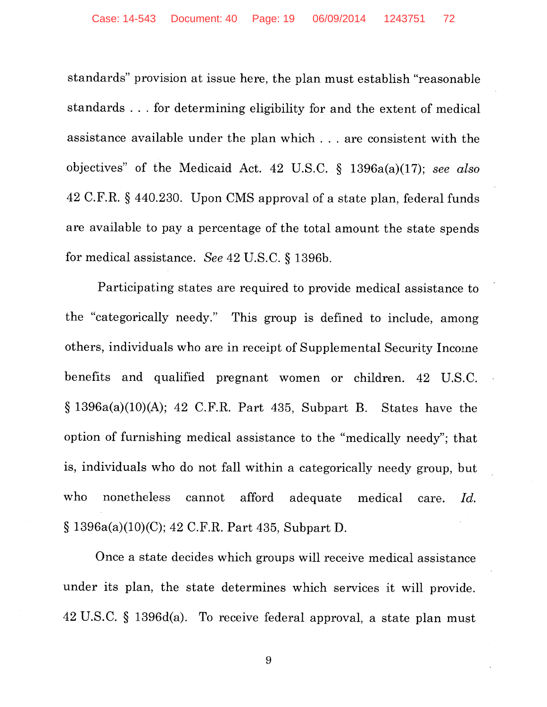standards" provision at issue here, the plan must establish "reasonable standards ... for determining eligibility for and the extent of medical assistance available under the plan which ... are consistent with the objectives" of the Medicaid Act. 42 U.S.C. § 1396a(a)(l 7); *see also*  42 C.F.R. § 440.230. Upon CMS approval of a state plan, federal funds are available to pay a percentage of the total amount the state spends for medical assistance. *See* 42 U.S.C. § 1396b.

Participating states are required to provide medical assistance to the "categorically needy." This group is defined to include, among others, individuals who are in receipt of Supplemental Security Income benefits and qualified pregnant women or children. 42 U.S.C.  $§ 1396a(a)(10)(A); 42 C.F.R. Part 435, Subpart B. States have the$ option of furnishing medical assistance to the "medically needy"; that is, individuals who do not fall within a categorically needy group, but who nonetheless cannot afford adequate medical care. *Id.*  § 1396a(a)(10)(C); 42 C.F.R. Part 435, Subpart D.

Once a state decides which groups will receive medical assistance under its plan, the state determines which services it will provide. 42 U.S.C. § 1396d(a). To receive federal approval, a state plan must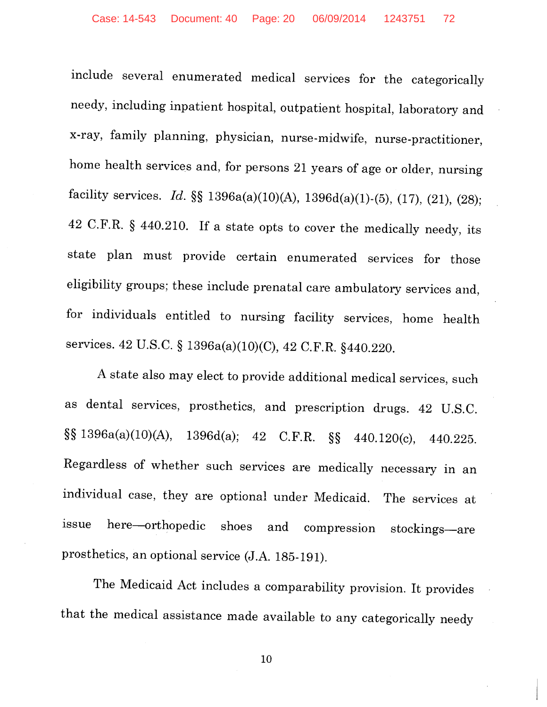include several enumerated medical services for the categorically needy, including inpatient hospital, outpatient hospital, laboratory and x-ray, family planning, physician, nurse-midwife, nurse-practitioner, home health services and, for persons 21 years of age or older, nursing facility services. *Id.*  $\S$  1396a(a)(10)(A), 1396d(a)(1)-(5), (17), (21), (28); 42 C.F.R. § 440.210. If a state opts to cover the medically needy, its state plan must provide certain enumerated services for those eligibility groups; these include prenatal care ambulatory services and, for individuals entitled to nursing facility services, home health services. 42 U.S.C. § 1396a(a)(10)(C), 42 C.F.R. §440.220.

A state also may elect to provide additional medical services, such as dental services, prosthetics, and prescription drugs. 42 U.S.C. §§ 1396a(a)(lO)(A), 1396d(a); 42 C.F.R. §§ 440.120(c), 440.225. Regardless of whether such services are medically necessary in an individual case, they are optional under Medicaid. The services at issue here—orthopedic shoes and compression stockings—are prosthetics, an optional service (J.A. 185-191).

The Medicaid Act includes a comparability provision. It provides that the medical assistance made available to any categorically needy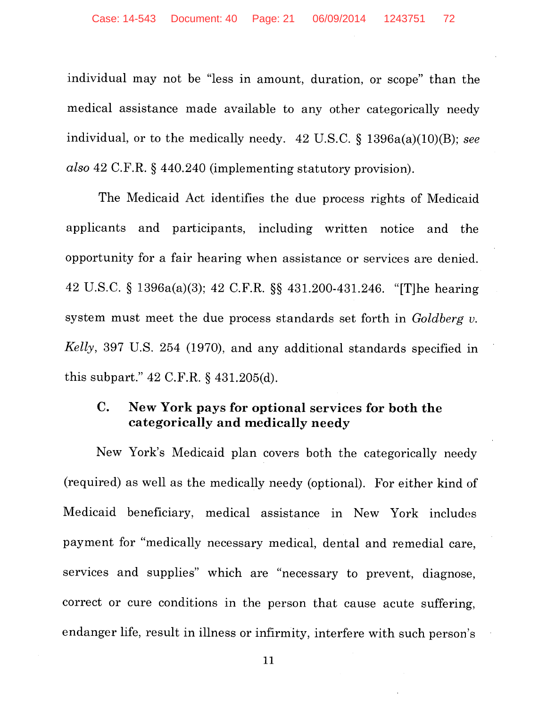individual may not be "less in amount, duration, or scope" than the medical assistance made available to any other categorically needy individual, or to the medically needy. 42 U.S.C. § 1396a(a)(IO)(B); *see also* 42 C.F.R. § 440.240 (implementing statutory provision).

The Medicaid Act identifies the due process rights of Medicaid applicants and participants, including written notice and the opportunity for a fair hearing when assistance or services are denied. 42 U.S.C. § 1396a(a)(3); 42 C.F.R. §§ 431.200-431.246. "[T]he hearing system must meet the due process standards set forth in *Goldberg v. Kelly,* 397 U.S. 254 (1970), and any additional standards specified in this subpart." 42 C.F.R. § 431.205(d).

## **C. New York pays for optional services for both the categorically and medically needy**

New York's Medicaid plan covers both the categorically needy (required) as well as the medically needy (optional). For either kind of Medicaid beneficiary, medical assistance in New York includes payment for "medically necessary medical, dental and remedial care, services and supplies" which are "necessary to prevent, diagnose, correct or cure conditions in the person that cause acute suffering, endanger life, result in illness or infirmity, interfere with such person's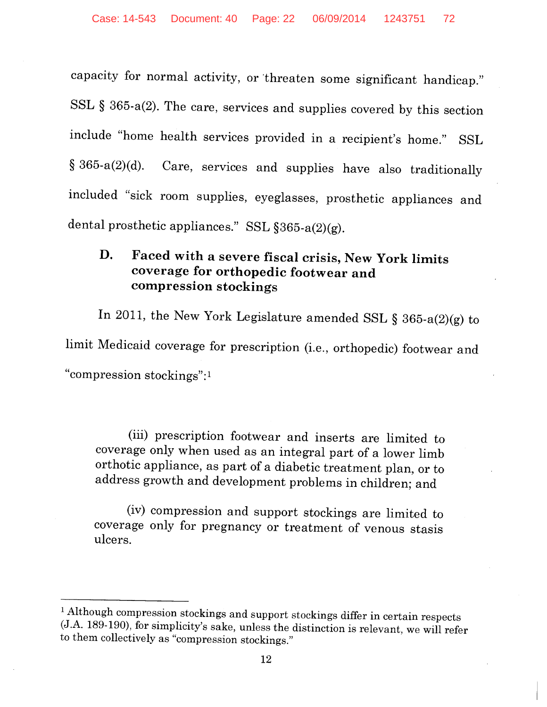capacity for normal activity, or 'threaten some significant handicap." SSL § 365-a(2). The care, services and supplies covered by this section include "home health services provided in a recipient's home." SSL § 365-a(2)(d). Care, services and supplies have also traditionally included "sick room supplies, eyeglasses, prosthetic appliances and dental prosthetic appliances." SSL §365-a(2)(g).

## D. Faced with a severe fiscal crisis, New York limits coverage for orthopedic footwear and compression stockings

In 2011, the New York Legislature amended SSL § 365-a(2)(g) to limit Medicaid coverage for prescription (i.e., orthopedic) footwear and "compression stockings": <sup>1</sup>

(iii) prescription footwear and inserts are limited to coverage only when used as an integral part of a lower limb orthotic appliance, as part of a diabetic treatment plan, or to address growth and development problems in children; and

(iv) compression and support stockings are limited to coverage only for pregnancy or treatment of venous stasis ulcers.

<sup>&</sup>lt;sup>1</sup> Although compression stockings and support stockings differ in certain respects (J.A. 189-190), for simplicity's sake, unless the distinction is relevant, we will refer to them collectively as "compression stockings."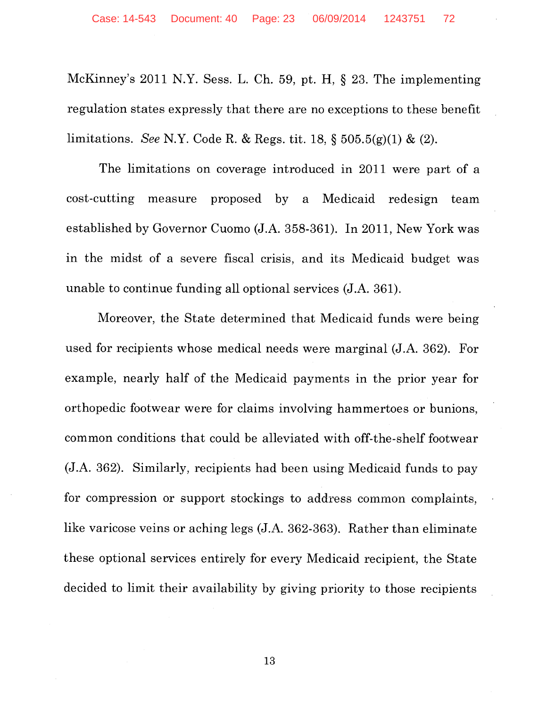McKinney's 2011 N.Y. Sess. L. Ch. 59, pt. H, § 23. The implementing regulation states expressly that there are no exceptions to these benefit limitations. *See* N.Y. Code R. & Regs. tit. 18, § 505.5(g)(l) & (2).

The limitations on coverage introduced in 2011 were part of a cost-cutting measure proposed by a Medicaid redesign team established by Governor Cuomo (J.A. 358-361). In 2011, New York was in the midst of a severe fiscal crisis, and its Medicaid budget was unable to continue funding all optional services (J.A. 361).

Moreover, the State determined that Medicaid funds were being used for recipients whose medical needs were marginal (J.A. 362). For example, nearly half of the Medicaid payments in the prior year for orthopedic footwear were for claims involving hammertoes or bunions, common conditions that could be alleviated with off-the-shelf footwear (J.A. 362). Similarly, recipients had been using Medicaid funds to pay for compression or support stockings to address common complaints, like varicose veins or aching legs (J.A. 362-363). Rather than eliminate these optional services entirely for every Medicaid recipient, the State decided to limit their availability by giving priority to those recipients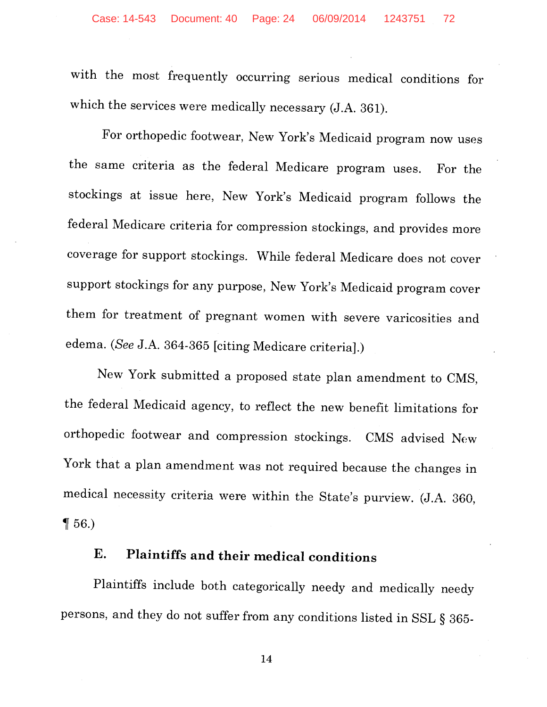with the most frequently occurring serious medical conditions for which the services were medically necessary (J.A. 361).

For orthopedic footwear, New York's Medicaid program now uses the same criteria as the federal Medicare program uses. For the stockings at issue here, New York's Medicaid program follows the federal Medicare criteria for compression stockings, and provides more coverage for support stockings. While federal Medicare does not cover support stockings for any purpose, New York's Medicaid program cover them for treatment of pregnant women with severe varicosities and edema. *(See* J.A. 364-365 [citing Medicare criteria].)

New York submitted a proposed state plan amendment to CMS, the federal Medicaid agency, to reflect the new benefit limitations for orthopedic footwear and compression stockings. CMS advised New York that a plan amendment was not required because the changes in medical necessity criteria were within the State's purview. (J.A. 360,  $\P 56.$ 

## **E. Plaintiffs and their medical conditions**

Plaintiffs include both categorically needy and medically needy persons, and they do not suffer from any conditions listed in SSL § 365-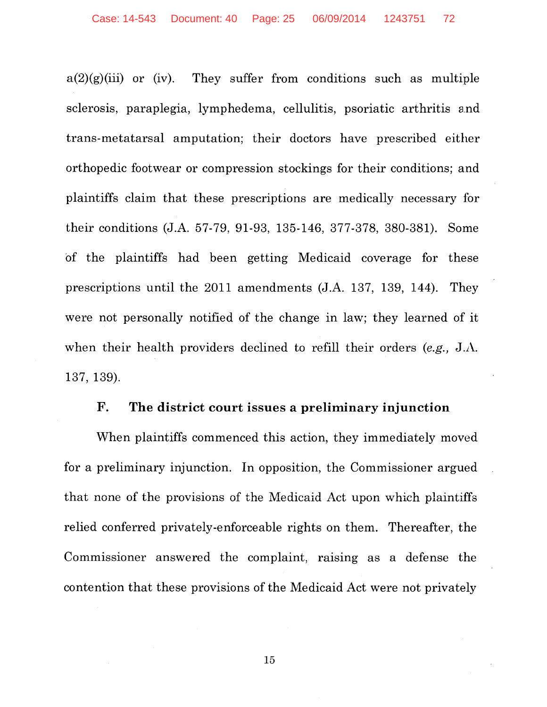$a(2)(g)(iii)$  or (iv). They suffer from conditions such as multiple sclerosis, paraplegia, lymphedema, cellulitis, psoriatic arthritis and trans-metatarsal amputation; their doctors have prescribed either orthopedic footwear or compression stockings for their conditions; and plaintiffs claim that these prescriptions are medically necessary for their conditions (J.A. 57-79, 91-93, 135-146, 377-378, 380-381). Some of the plaintiffs had been getting Medicaid coverage for these prescriptions until the 2011 amendments (J.A. 137, 139, 144). They were not personally notified of the change in law; they learned of it when their health providers declined to refill their orders *(e.g.,* J.A. 137, 139).

#### **F. The district court** issues a **preliminary injunction**

When plaintiffs commenced this action, they immediately moved for a preliminary injunction. In opposition, the Commissioner argued that none of the provisions of the Medicaid Act upon which plaintiffs relied conferred privately-enforceable rights on them. Thereafter, the Commissioner answered the complaint, raising as a defense the contention that these provisions of the Medicaid Act were not privately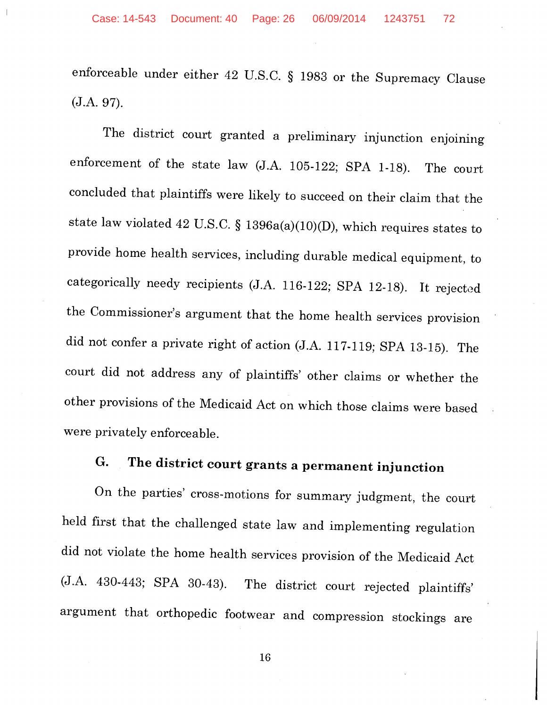enforceable under either 42 U.S.C. § 1983 or the Supremacy Clause (J.A. 97).

The district court granted a preliminary injunction enjoining enforcement of the state law (J.A. 105-122; SPA 1-18). The court concluded that plaintiffs were likely to succeed on their claim that the state law violated 42 U.S.C. § 1396a(a)(10)(D), which requires states to provide home health services, including durable medical equipment, to categorically needy recipients (J.A. 116-122; SPA 12-18). It rejected the Commissioner's argument that the home health services provision did not confer a private right of action (J.A. 117-119; SPA 13-15). The court did not address any of plaintiffs' other claims or whether the other provisions of the Medicaid Act on which those claims were based were privately enforceable.

# **G. The district court grants a permanent injunction**

On the parties' cross-motions for summary judgment, the court held first that the challenged state law and implementing regulation did not violate the home health services provision of the Medicaid Act (J.A. 430-443; SPA 30-43). The district court rejected plaintiffs' argument that orthopedic footwear and compression stockings are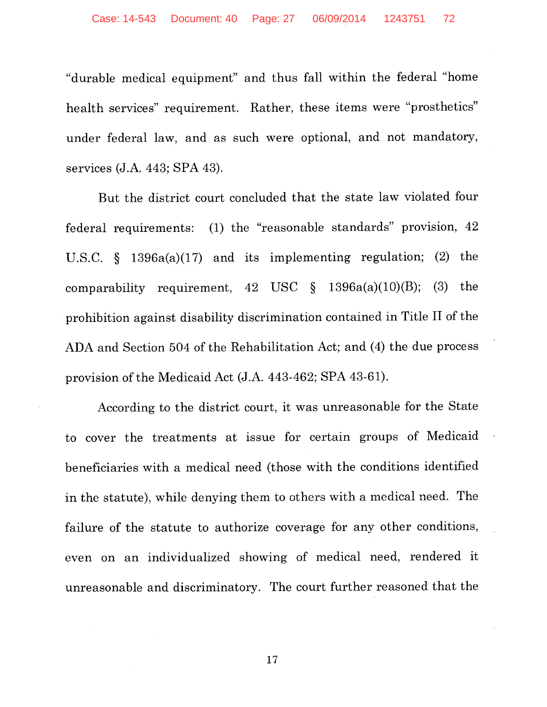"durable medical equipment" and thus fall within the federal "home health services" requirement. Rather, these items were "prosthetics" under federal law, and as such were optional, and not mandatory, services (J.A. 443; SPA 43).

But the district court concluded that the state law violated four federal requirements: (1) the "reasonable standards" provision, 42 U.S.C.  $\S$  1396a(a)(17) and its implementing regulation; (2) the comparability requirement, 42 USC  $\S$  1396a(a)(10)(B); (3) the prohibition against disability discrimination contained in Title II of the ADA and Section 504 of the Rehabilitation Act; and (4) the due process provision of the Medicaid Act (J.A. 443-462; SPA 43-61).

According to the district court, it was unreasonable for the State to cover the treatments at issue for certain groups of Medicaid beneficiaries with a medical need (those with the conditions identified in the statute), while denying them to others with a medical need. The failure of the statute to authorize coverage for any other conditions, even on an individualized showing of medical need, rendered it unreasonable and discriminatory. The court further reasoned that the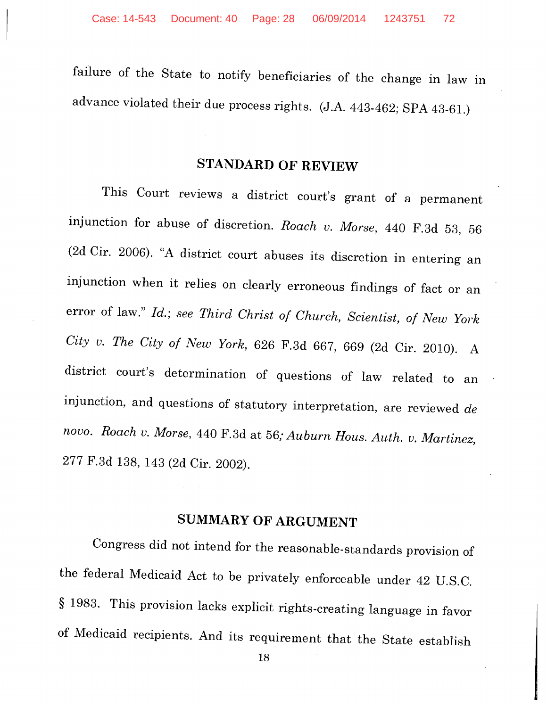failure of the State to notify beneficiaries of the change in law in advance violated their due process rights. (J.A. 443-462; SPA 43-61.)

# **STANDARD OF REVIEW**

This Court reviews a district court's grant of a permanent injunction for abuse of discretion. *Roach v. Morse,* 440 F.3d 53, 56 (2d Cir. 2006). "A district court abuses its discretion in entering an injunction when it relies on clearly erroneous findings of fact or an error of law." *Id.; see Third Christ of Church, Scientist, of New York City v. The City of New York,* 626 F.3d 667, 669 (2d Cir. 2010). A district court's determination of questions of law related to an injunction, and questions of statutory interpretation, are reviewed *de novo. Roach v. Morse,* 440 F.3d at 56; *Auburn Hous. Auth. v. Martinez,*  277 F.3d 138, 143 (2d Cir. 2002).

## **SUMMARY OF ARGUMENT**

Congress did not intend for the reasonable-standards provision of the federal Medicaid Act to be privately enforceable under 42 U.S.C. § 1983. This provision lacks explicit rights-creating language in favor of Medicaid recipients. And its requirement that the State establish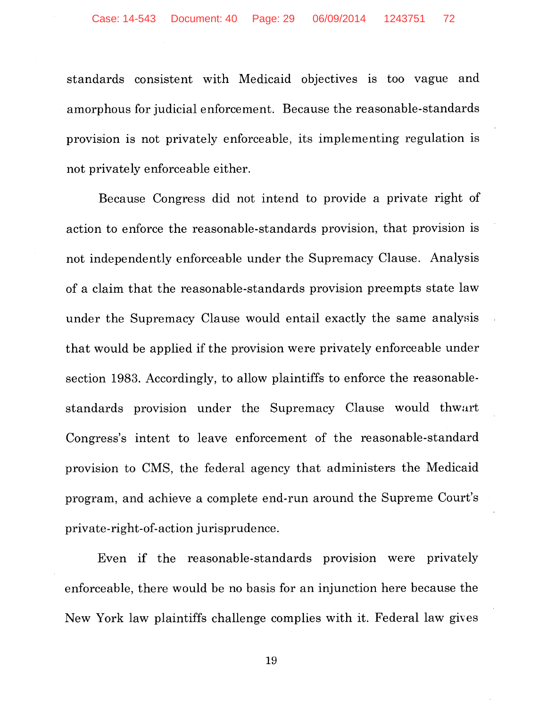standards consistent with Medicaid objectives is too vague and amorphous for judicial enforcement. Because the reasonable-standards provision is not privately enforceable, its implementing regulation is not privately enforceable either.

Because Congress did not intend to provide a private right of action to enforce the reasonable-standards provision, that provision is not independently enforceable under the Supremacy Clause. Analysis of a claim that the reasonable-standards provision preempts state law under the Supremacy Clause would entail exactly the same analysis that would be applied if the provision were privately enforceable under section 1983. Accordingly, to allow plaintiffs to enforce the reasonablestandards provision under the Supremacy Clause would thwart Congress's intent to leave enforcement of the reasonable-standard provision to CMS, the federal agency that administers the Medicaid program, and achieve a complete end-run around the Supreme Court's private-right-of-action jurisprudence.

Even if the reasonable-standards provision were privately enforceable, there would be no basis for an injunction here because the New York law plaintiffs challenge complies with it. Federal law gives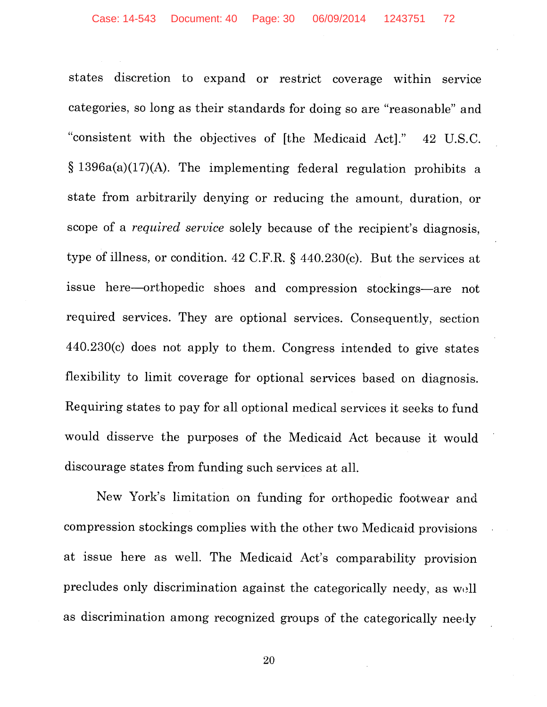states discretion to expand or restrict coverage within service categories, so long as their standards for doing so are "reasonable" and "consistent with the objectives of [the Medicaid Act]." 42 U.S.C. § 1396a(a)(17)(A). The implementing federal regulation prohibits a state from arbitrarily denying or reducing the amount, duration, or scope of a *required service* solely because of the recipient's diagnosis, type of illness, or condition. 42 C.F.R. § 440.230(c). But the services at issue here-orthopedic shoes and compression stockings-are not required services. They are optional services. Consequently, section 440.230(c) does not apply to them. Congress intended to give states flexibility to limit coverage for optional services based on diagnosis. Requiring states to pay for all optional medical services it seeks to fund would disserve the purposes of the Medicaid Act because it would discourage states from funding such services at all.

New York's limitation on funding for orthopedic footwear and compression stockings complies with the other two Medicaid provisions at issue here as well. The Medicaid Act's comparability provision precludes only discrimination against the categorically needy, as well as discrimination among recognized groups of the categorically needy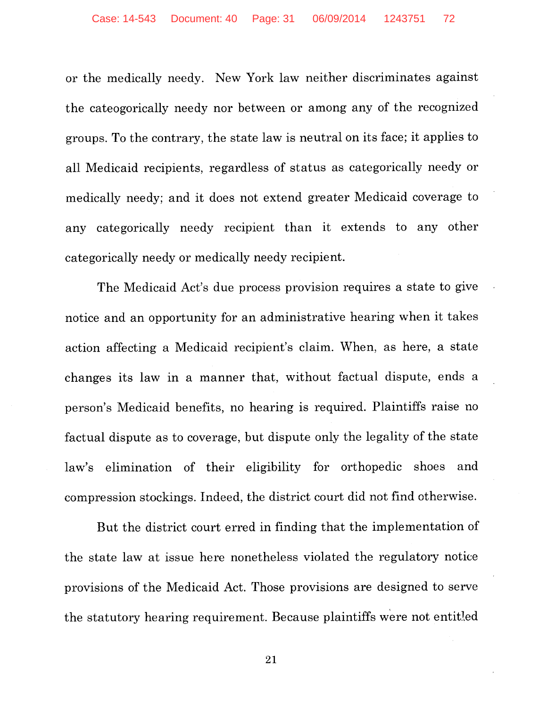or the medically needy. New York law neither discriminates against the cateogorically needy nor between or among any of the recognized groups. To the contrary, the state law is neutral on its face; it applies to all Medicaid recipients, regardless of status as categorically needy or medically needy; and it does not extend greater Medicaid coverage to any categorically needy recipient than it extends to any other categorically needy or medically needy recipient.

The Medicaid Act's due process provision requires a state to give notice and an opportunity for an administrative hearing when it takes action affecting a Medicaid recipient's claim. When, as here, a state changes its law in a manner that, without factual dispute, ends a person's Medicaid benefits, no hearing is required. Plaintiffs raise no factual dispute as to coverage, but dispute only the legality of the state law's elimination of their eligibility for orthopedic shoes and compression stockings. Indeed, the district court did not find otherwise.

But the district court erred in finding that the implementation of the state law at issue here nonetheless violated the regulatory notice provisions of the Medicaid Act. Those provisions are designed to serve the statutory hearing requirement. Because plaintiffs were not entitled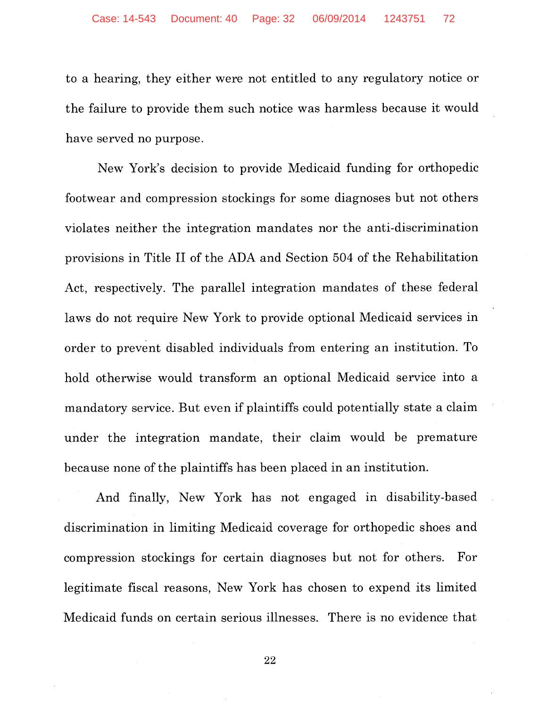to a hearing, they either were not entitled to any regulatory notice or the failure to provide them such notice was harmless because it would have served no purpose.

New York's decision to provide Medicaid funding for orthopedic footwear and compression stockings for some diagnoses but not others violates neither the integration mandates nor the anti-discrimination provisions in Title II of the ADA and Section 504 of the Rehabilitation Act, respectively. The parallel integration mandates of these federal laws do not require New York to provide optional Medicaid services in order to prevent disabled individuals from entering an institution. To hold otherwise would transform an optional Medicaid service into a mandatory service. But even if plaintiffs could potentially state a claim under the integration mandate, their claim would be premature because none of the plaintiffs has been placed in an institution.

And finally, New York has not engaged in disability-based discrimination in limiting Medicaid coverage for orthopedic shoes and compression stockings for certain diagnoses but not for others. For legitimate fiscal reasons, New York has chosen to expend its limited Medicaid funds on certain serious illnesses. There is no evidence that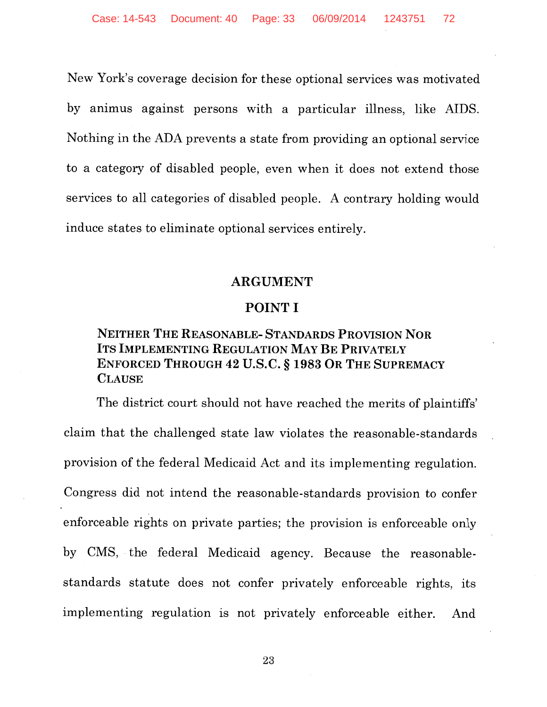New York's coverage decision for these optional services was motivated by animus against persons with a particular illness, like AIDS. Nothing in the ADA prevents a state from providing an optional service to a category of disabled people, even when it does not extend those services to all categories of disabled people. A contrary holding would induce states to eliminate optional services entirely.

#### ARGUMENT

#### POINT I

#### NEITHER THE REASONABLE- STANDARDS PROVISION NOR ITS IMPLEMENTING REGULATION MAY BE PRIVATELY ENFORCED THROUGH 42 U.S.C. § 1983 OR THE SUPREMACY **CLAUSE**

The district court should not have reached the merits of plaintiffs' claim that the challenged state law violates the reasonable-standards provision of the federal Medicaid Act and its implementing regulation. Congress did not intend the reasonable-standards provision to confer enforceable rights on private parties; the provision is enforceable only by CMS, the federal Medicaid agency. Because the reasonablestandards statute does not confer privately enforceable rights, its implementing regulation is not privately enforceable either. And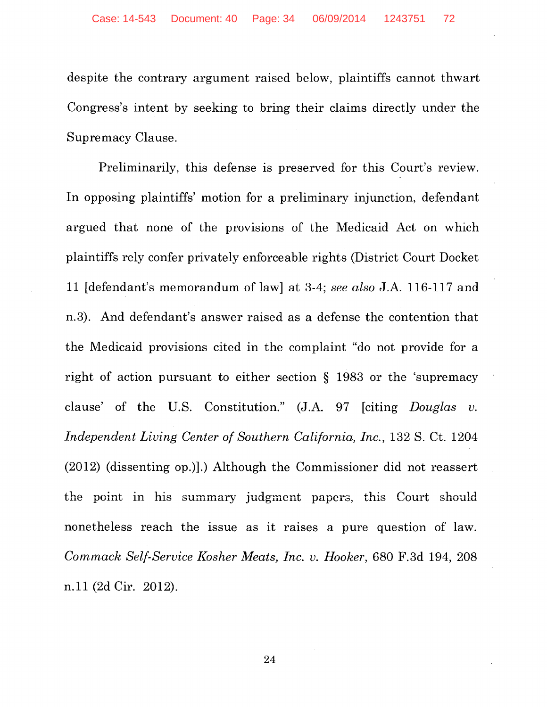despite the contrary argument raised below, plaintiffs cannot thwart Congress's intent by seeking to bring their claims directly under the Supremacy Clause.

Preliminarily, this defense is preserved for this Court's review. In opposing plaintiffs' motion for a preliminary injunction, defendant argued that none of the provisions of the Medicaid Act on which plaintiffs rely confer privately enforceable rights (District Court Docket 11 [defendant's memorandum of law] at 3-4; *see also* J.A. 116-117 and n.3). And defendant's answer raised as a defense the contention that the Medicaid provisions cited in the complaint "do not provide for a right of action pursuant to either section § 1983 or the 'supremacy clause' of the U.S. Constitution." (J.A. 97 [citing *Douglas v. Independent Living Center of Southern California, Inc., 132 S. Ct. 1204* (2012) (dissenting op.)].) Although the Commissioner did not reassert the point in his summary judgment papers, this Court should nonetheless reach the issue as it raises a pure question of law. *Cammack Self-Service Kosher Meats, Inc. v. Hooker,* 680 F.3d 194, 208 n.11 (2d Cir. 2012).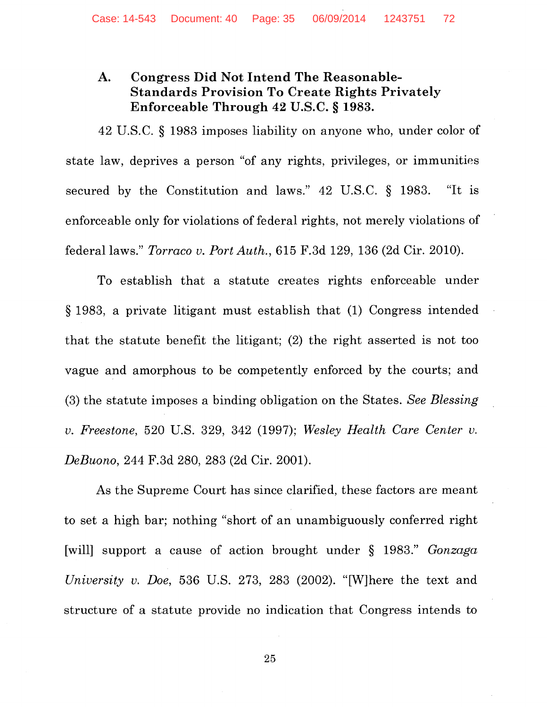## **A. Congress Did Not Intend The Reasonable-Standards Provision To Create Rights Privately Enforceable Through 42 U.S.C. § 1983.**

42 U.S.C. § 1983 imposes liability on anyone who, under color of state law, deprives a person "of any rights, privileges, or immunities secured by the Constitution and laws." 42 U.S.C. § 1983. "It is enforceable only for violations of federal rights, not merely violations of federal laws." *Torraco v. Port Auth.,* 615 F.3d 129, 136 (2d Cir. 2010).

To establish that a statute creates rights enforceable under § 1983, a private litigant must establish that (1) Congress intended that the statute benefit the litigant; (2) the right asserted is not too vague and amorphous to be competently enforced by the courts; and (3) the statute imposes a binding obligation on the States. *See Blessing v. Freestone,* 520 U.S. 329, 342 (1997); *Wesley Health Care Center v. DeBuono,* 244 F.3d 280, 283 (2d Cir. 2001).

As the Supreme Court has since clarified, these factors are meant to set a high bar; nothing "short of an unambiguously conferred right [will] support a cause of action brought under § 1983." *Gonzaga University v. Doe,* 536 U.S. 273, 283 (2002). "[W]here the text and structure of a statute provide no indication that Congress intends to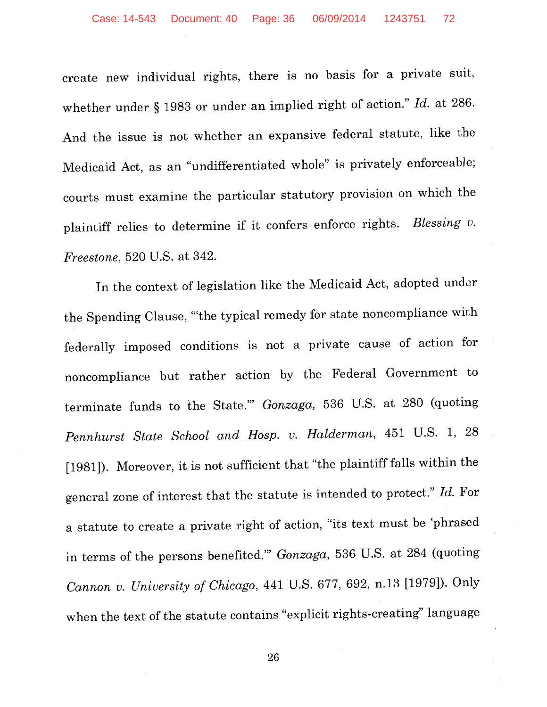create new individual rights, there is no basis for a private suit, whether under § 1983 or under an implied right of action." *Id.* at 286. And the issue is not whether an expansive federal statute, like the Medicaid Act, as an "undifferentiated whole" is privately enforceable; courts must examine the particular statutory provision on which the plaintiff relies to determine if it confers enforce rights. *Blessing v. Freestone,* 520 U.S. at 342.

In the context of legislation like the Medicaid Act, adopted under the Spending Clause, "'the typical remedy for state noncompliance with federally imposed conditions is not a private cause of action for noncompliance but rather action by the Federal Government to terminate funds to the State."' *Gonzaga,* 536 U.S. at 280 (quoting *Pennhurst State School and Hosp. v. Halderman,* 451 U.S. 1, 28 [1981]). Moreover, it is not sufficient that "the plaintiff falls within the general zone of interest that the statute is intended to protect." *Id.* For a statute to create a private right of action, "its text must be 'phrased in terms of the persons benefited."' *Gonzaga,* 536 U.S. at 284 (quoting *Cannon v. University of Chicago,* 441 U.S. 677, 692, n.13 [1979]). Only when the text of the statute contains "explicit rights-creating" language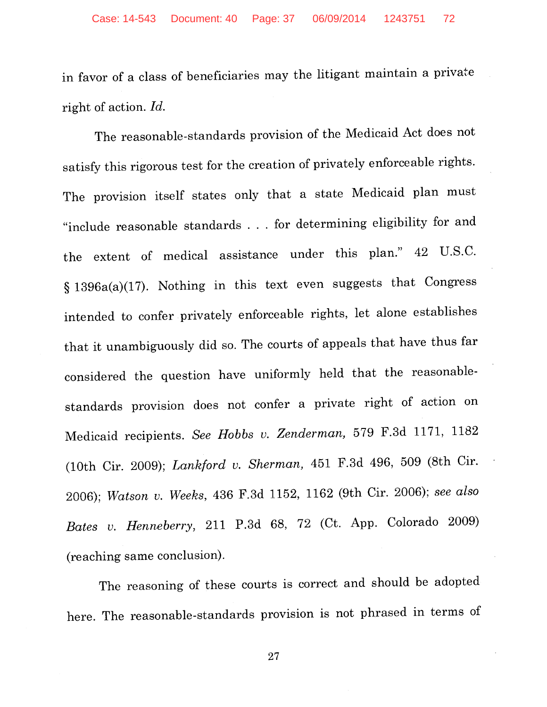in favor of a class of beneficiaries may the litigant maintain a private right of action. *Id.* 

The reasonable-standards provision of the Medicaid Act does not satisfy this rigorous test for the creation of privately enforceable rights. The provision itself states only that a state Medicaid plan must "include reasonable standards ... for determining eligibility for and the extent of medical assistance under this plan." 42 U.S.C. § 1396a(a)(17). Nothing in this text even suggests that Congress intended to confer privately enforceable rights, let alone establishes that it unambiguously did so. The courts of appeals that have thus far considered the question have uniformly held that the reasonablestandards provision does not confer a private right of action on Medicaid recipients. See Hobbs v. Zenderman, 579 F.3d 1171, 1182 (10th Cir. 2009); *Lankford v. Sherman,* 451 F.3d 496, 509 (8th Cir. 2006); *VVatson v. Weeks,* 436 F.3d 1152, 1162 (9th Cir. 2006); *see also Bates v. Henneberry,* 211 P.3d 68, 72 (Ct. App. Colorado 2009) (reaching same conclusion).

The reasoning of these courts is correct and should be adopted here. The reasonable-standards provision is not phrased in terms of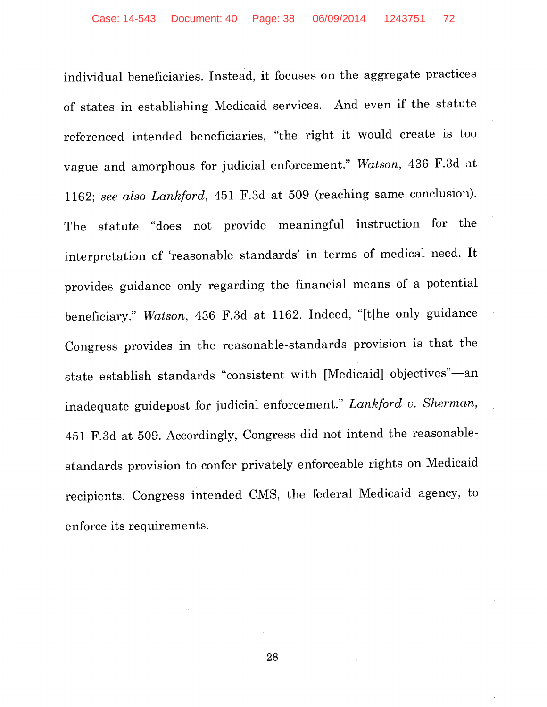individual beneficiaries. Instead, it focuses on the aggregate practices of states in establishing Medicaid services. And even if the statute referenced intended beneficiaries, "the right it would create is too vague and amorphous for judicial enforcement." Watson, 436 F.3d at 1162; *see also Lankford,* 451 F.3d at 509 (reaching same conclusion). The statute "does not provide meaningful instruction for the interpretation of 'reasonable standards' in terms of medical need. It provides guidance only regarding the financial means of a potential beneficiary." *Watson,* 436 F.3d at 1162. Indeed, "[t]he only guidance Congress provides in the reasonable-standards provision is that the state establish standards "consistent with [Medicaid] objectives"-an inadequate guidepost for judicial enforcement." *Lankford v. Sherman,*  451 F.3d at 509. Accordingly, Congress did not intend the reasonablestandards provision to confer privately enforceable rights on Medicaid recipients. Congress intended CMS, the federal Medicaid agency, to enforce its requirements.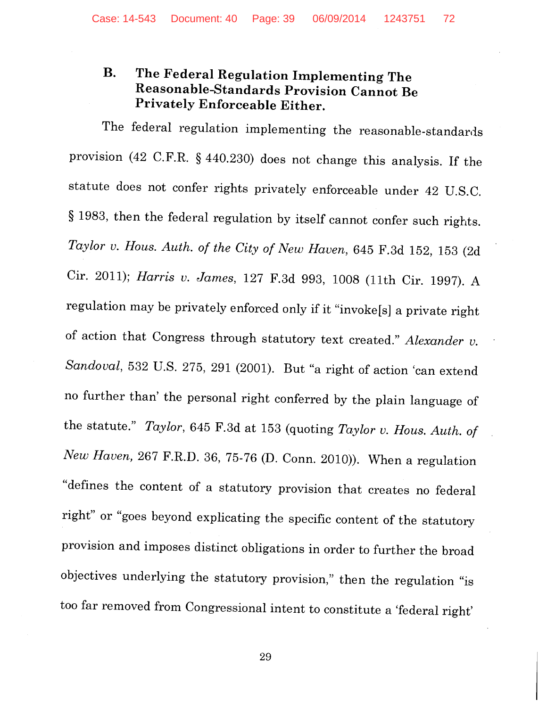## **B. The Federal Regulation Implementing The Reasonable-Standards Provision Cannot Be Privately Enforceable Either.**

The federal regulation implementing the reasonable-standards provision ( 42 C.F.R. § 440.230) does not change this analysis. If the statute does not confer rights privately enforceable under 42 U.S.C. § 1983, then the federal regulation by itself cannot confer such rights. *Taylor v. Haus. Auth. of the City of New Haven,* 645 F.3d 152, 153 (2d Cir. 2011); *Harris v. James,* 127 F.3d 993, 1008 (11th Cir. 1997). A regulation may be privately enforced only if it "invoke[s] a private right of action that Congress through statutory text created." *Alexander v. Sandoval,* 532 U.S. 275, 291 (2001). But "a right of action 'can extend no further than' the personal right conferred by the plain language of the statute." *Taylor,* 645 F.3d at 153 (quoting *Taylor v. Haus. Auth. of New Haven,* 267 F.R.D. 36, 75-76 (D. Conn. 2010)). When a regulation "defines the content of a statutory provision that creates no federal right" or "goes beyond explicating the specific content of the statutory provision and imposes distinct obligations in order to further the broad objectives underlying the statutory provision," then the regulation "is too far removed from Congressional intent to constitute a 'federal right'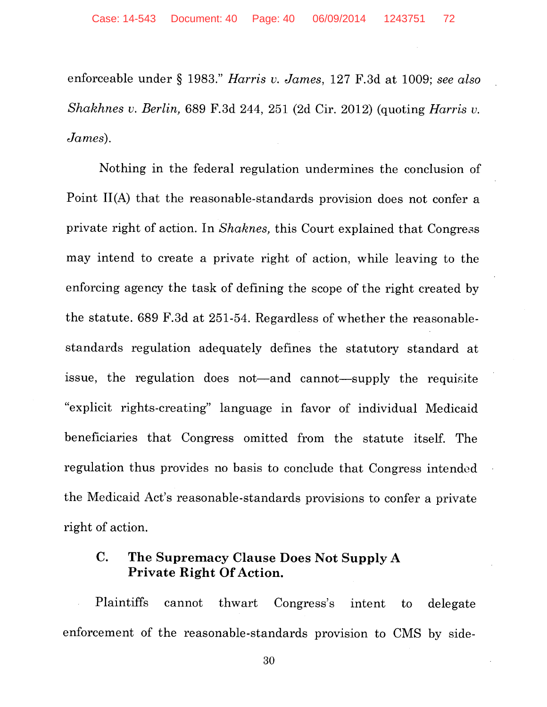enforceable under § 1983." *Harris v. James,* 127 F.3d at 1009; *see also Shakhnes v. Berlin,* 689 F.3d 244, 251 (2d Cir. 2012) (quoting *Harris v. James).* 

Nothing in the federal regulation undermines the conclusion of Point II(A) that the reasonable-standards provision does not confer a private right of action. In *Shaknes*, this Court explained that Congress may intend to create a private right of action, while leaving to the enforcing agency the task of defining the scope of the right created by the statute. 689 F.3d at 251-54. Regardless of whether the reasonablestandards regulation adequately defines the statutory standard at issue, the regulation does not—and cannot—supply the requisite "explicit rights-creating" language in favor of individual Medicaid beneficiaries that Congress omitted from the statute itself. The regulation thus provides no basis to conclude that Congress intended the Medicaid Act's reasonable-standards provisions to confer a private right of action.

## **C. The Supremacy Clause Does Not Supply A Private Right Of Action.**

Plaintiffs cannot thwart Congress's intent to delegate enforcement of the reasonable-standards provision to CMS by side-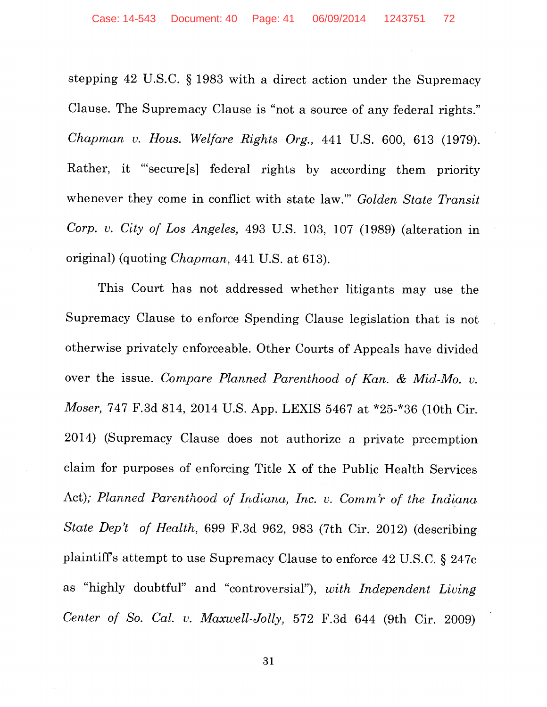stepping 42 U.S.C. § 1983 with a direct action under the Supremacy Clause. The Supremacy Clause is "not a source of any federal rights." *Chapman v. Hous. Welfare Rights Org.,* 441 U.S. 600, 613 (1979). Rather, it "'secure[s] federal rights by according them priority whenever they come in conflict with state law."' *Golden State Transit Corp. v. City of Los Angeles,* 493 U.S. 103, 107 (1989) (alteration in original) (quoting *Chapman,* 441 U.S. at 613).

This Court has not addressed whether litigants may use the Supremacy Clause to enforce Spending Clause legislation that is not otherwise privately enforceable. Other Courts of Appeals have divided over the issue. *Compare Planned Parenthood of Kan.* & *Mid-Mo. v. Moser,* 747 F.3d 814, 2014 U.S. App. LEXIS 5467 at \*25-\*36 (10th Cir. 2014) (Supremacy Clause does not authorize a private preemption claim for purposes of enforcing Title X of the Public Health Services Act); *Planned Parenthood of Indiana, Inc. v. Comm 'r of the Indiana State Dep't of Health,* 699 F.3d 962, 983 (7th Cir. 2012) (describing plaintiffs attempt to use Supremacy Clause to enforce 42 U.S.C. § 247c as "highly doubtful" and "controversial"), *with Independent Living Center of So. Cal. v. Maxwell-Jolly,* 572 F.3d 644 (9th Cir. 2009)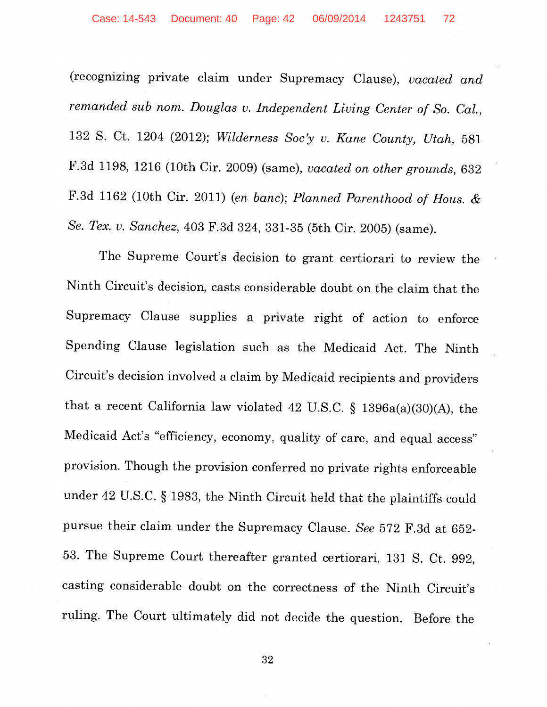(recognizing private claim under Supremacy Clause), *vacated and remanded sub nom. Douglas v. Independent Living Center of So. Cal.,*  132 S. Ct. 1204 (2012); *Wilderness Soc'y v. Kane County, Utah,* 581 F.3d 1198, 1216 (10th Cir. 2009) (same), *vacated on other grounds,* 632 F.3d 1162 (10th Cir. 2011) (en *bane); Planned Parenthood of Hous.* & *Se. Tex. v. Sanchez,* 403 F.3d 324, 331-35 (5th Cir. 2005) (same).

The Supreme Court's decision to grant certiorari to review the Ninth Circuit's decision, casts considerable doubt on the claim that the Supremacy Clause supplies a private right of action to enforce Spending Clause legislation such as the Medicaid Act. The Ninth Circuit's decision involved a claim by Medicaid recipients and providers that a recent California law violated 42 U.S.C. § 1396a(a)(30)(A), the Medicaid Act's "efficiency, economy, quality of care, and equal access" provision. Though the provision conferred no private rights enforceable under 42 U.S.C. § 1983, the Ninth Circuit held that the plaintiffs could pursue their claim under the Supremacy Clause. *See* 572 F.3d at 652- 53. The Supreme Court thereafter granted certiorari, 131 S. Ct. 992, casting considerable doubt on the correctness of the Ninth Circuit's ruling. The Court ultimately did not decide the question. Before the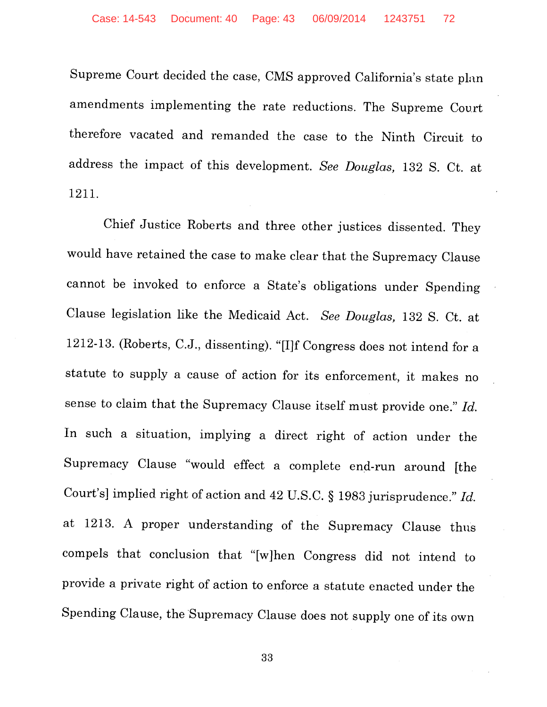Supreme Court decided the case, CMS approved California's state plan amendments implementing the rate reductions. The Supreme Court therefore vacated and remanded the case to the Ninth Circuit to address the impact of this development. *See Douglas,* 132 S. Ct. at 1211.

Chief Justice Roberts and three other justices dissented. They would have retained the case to make clear that the Supremacy Clause cannot be invoked to enforce a State's obligations under Spending Clause legislation like the Medicaid Act. *See Douglas,* 132 S. Ct. at 1212-13. (Roberts, C.J., dissenting). "[I]f Congress does not intend for a statute to supply a cause of action for its enforcement, it makes no sense to claim that the Supremacy Clause itself must provide one." *Id.*  In such a situation, implying a direct right of action under the Supremacy Clause "would effect a complete end-run around [the Court's] implied right of action and 42 U.S.C. § 1983 jurisprudence." *Id.*  at 1213. A proper understanding of the Supremacy Clause thus compels that conclusion that "[w]hen Congress did not intend to provide a private right of action to enforce a statute enacted under the Spending Clause, the Supremacy Clause does not supply one of its own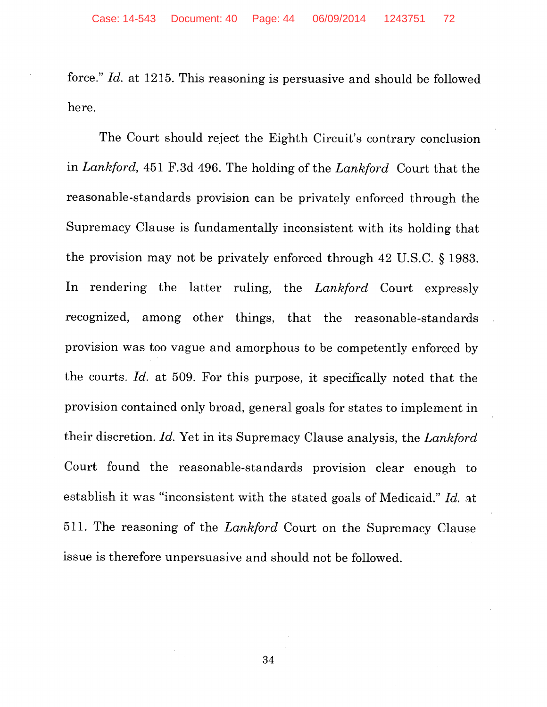force." *Id.* at 1215. This reasoning is persuasive and should be followed here.

The Court should reject the Eighth Circuit's contrary conclusion in *Lankford,* 451 F.3d 496. The holding of the *Lankford* Court that the reasonable-standards provision can be privately enforced through the Supremacy Clause is fundamentally inconsistent with its holding that the provision may not be privately enforced through 42 U.S.C. § 1983. In rendering the latter ruling, the *Lankford* Court expressly recognized, among other things, that the reasonable-standards provision was too vague and amorphous to be competently enforced by the courts. *Id.* at 509. For this purpose, it specifically noted that the provision contained only broad, general goals for states to implement in their discretion. *Id.* Yet in its Supremacy Clause analysis, the *Lankford*  Court found the reasonable-standards provision clear enough to establish it was "inconsistent with the stated goals of Medicaid." *Id.* at 511. The reasoning of the *Lankford* Court on the Supremacy Clause issue is therefore unpersuasive and should not be followed.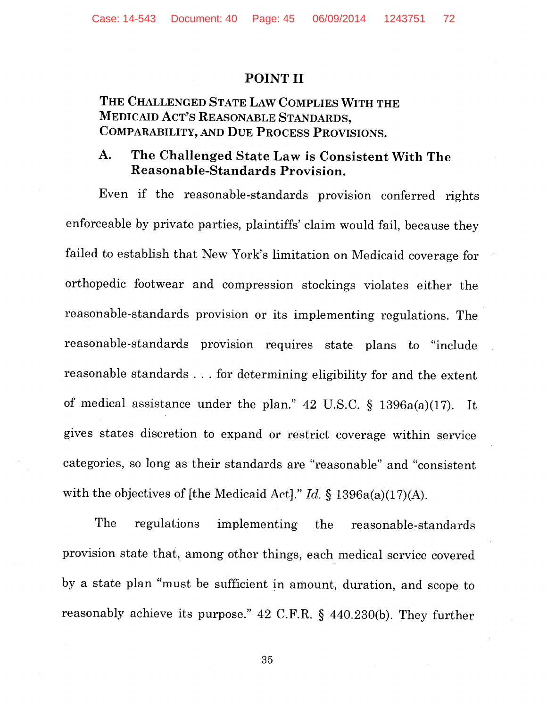### POINT II

## THE CHALLENGED STATE LAW COMPLIES WITH THE MEDICAID ACT'S REASONABLE STANDARDS, COMPARABILITY, AND DUE PROCESS PROVISIONS.

## A. The Challenged State Law is Consistent With The Reasonable-Standards Provision.

Even if the reasonable-standards provision conferred rights enforceable by private parties, plaintiffs' claim would fail, because they failed to establish that New York's limitation on Medicaid coverage for orthopedic footwear and compression stockings violates either the reasonable-standards provision or its implementing regulations. The reasonable-standards provision requires state plans to "include reasonable standards ... for determining eligibility for and the extent of medical assistance under the plan." 42 U.S.C.  $\S$  1396a(a)(17). It gives states discretion to expand or restrict coverage within service categories, so long as their standards are "reasonable" and "consistent with the objectives of [the Medicaid Act]." *Id.* § 1396a(a)(17)(A).

The regulations implementing the reasonable-standards provision state that, among other things, each medical service covered by a state plan "must be sufficient in amount, duration, and scope to reasonably achieve its purpose." 42 C.F.R. § 440.230(b). They further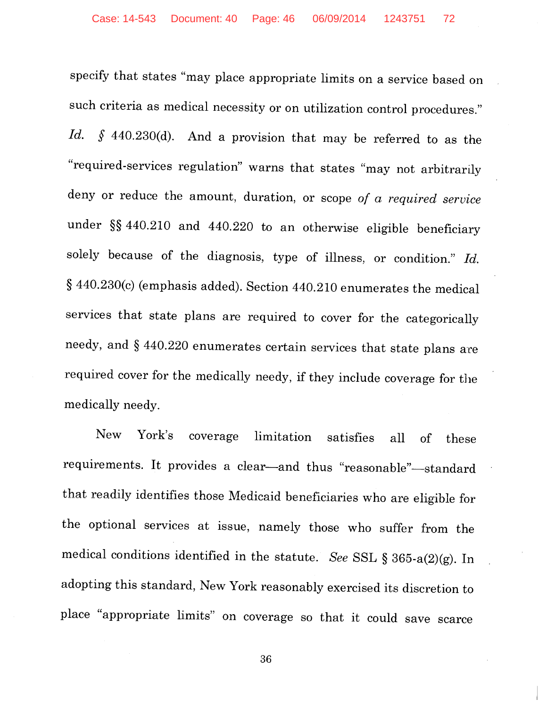specify that states "may place appropriate limits on a service based on such criteria as medical necessity or on utilization control procedures." *Id.* § 440.230(d). And a provision that may be referred to as the "required-services regulation" warns that states "may not arbitrarily deny or reduce the amount, duration, or scope *of a required service*  under §§ 440.210 and 440.220 to an otherwise eligible beneficiary solely because of the diagnosis, type of illness, or condition." *Id.*  § 440.230(c) (emphasis added). Section 440.210 enumerates the medical services that state plans are required to cover for the categorically needy, and § 440.220 enumerates certain services that state plans are required cover for the medically needy, if they include coverage for the medically needy.

New York's coverage limitation satisfies all of these requirements. It provides a clear-and thus "reasonable"-standard that readily identifies those Medicaid beneficiaries who are eligible for the optional services at issue, namely those who suffer from the medical conditions identified in the statute. *See* SSL § 365-a(2)(g). In adopting this standard, New York reasonably exercised its discretion to place "appropriate limits" on coverage so that it could save scarce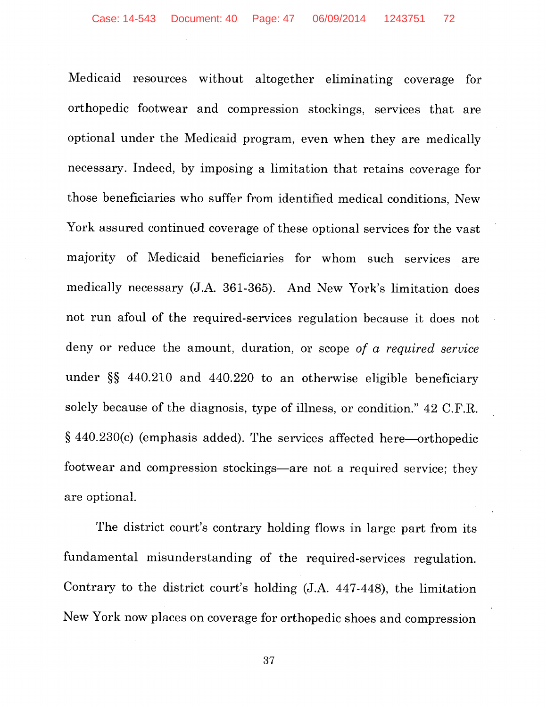Medicaid resources without altogether eliminating coverage for orthopedic footwear and compression stockings, services that are optional under the Medicaid program, even when they are medically necessary. Indeed, by imposing a limitation that retains coverage for those beneficiaries who suffer from identified medical conditions, New York assured continued coverage of these optional services for the vast majority of Medicaid beneficiaries for whom such services are medically necessary (J.A. 361-365). And New York's limitation does not run afoul of the required-services regulation because it does not deny or reduce the amount, duration, or scope *of a required service*  under §§ 440.210 and 440.220 to an otherwise eligible beneficiary solely because of the diagnosis, type of illness, or condition." 42 C.F.R. § 440.230(c) (emphasis added). The services affected here-orthopedic footwear and compression stockings-are not a required service; they are optional.

The district court's contrary holding flows in large part from its fundamental misunderstanding of the required-services regulation. Contrary to the district court's holding (J.A. 447-448), the limitation New York now places on coverage for orthopedic shoes and compression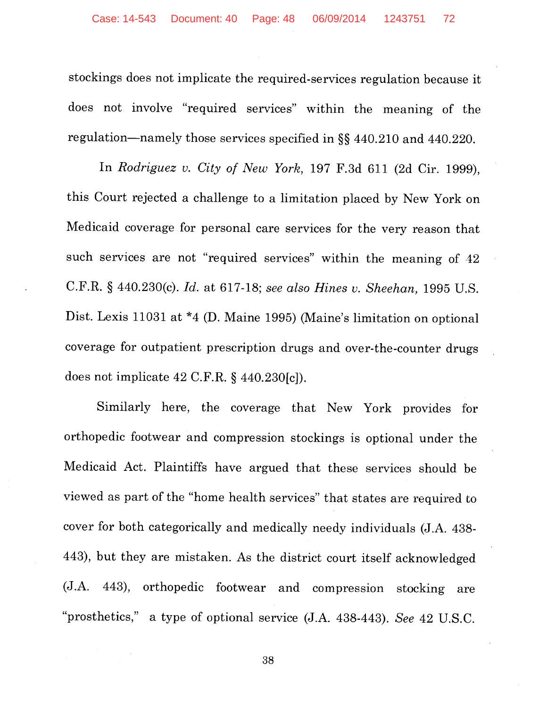stockings does not implicate the required-services regulation because it does not involve "required services" within the meaning of the regulation-namely those services specified in §§ 440.210 and 440.220.

In *Rodriguez v. City of New York,* 197 F.3d 611 (2d Cir. 1999), this Court rejected a challenge to a limitation placed by New York on Medicaid coverage for personal care services for the very reason that such services are not "required services" within the meaning of 42 C.F.R. § 440.230(c). *Id.* at 617-18; *see also Hines v. Sheehan,* 1995 U.S. Dist. Lexis 11031 at \*4 (D. Maine 1995) (Maine's limitation on optional coverage for outpatient prescription drugs and over-the-counter drugs does not implicate 42 C.F.R. § 440.230[c]).

Similarly here, the coverage that New York provides for orthopedic footwear and compression stockings is optional under the Medicaid Act. Plaintiffs have argued that these services should be viewed as part of the "home health services" that states are required *to*  cover for both categorically and medically needy individuals (J.A. 438- 443), but they are mistaken. As the district court itself acknowledged (J.A. 443), orthopedic footwear and compression stocking are "prosthetics," a type of optional service (J.A. 438-443). *See* 42 U.S.C.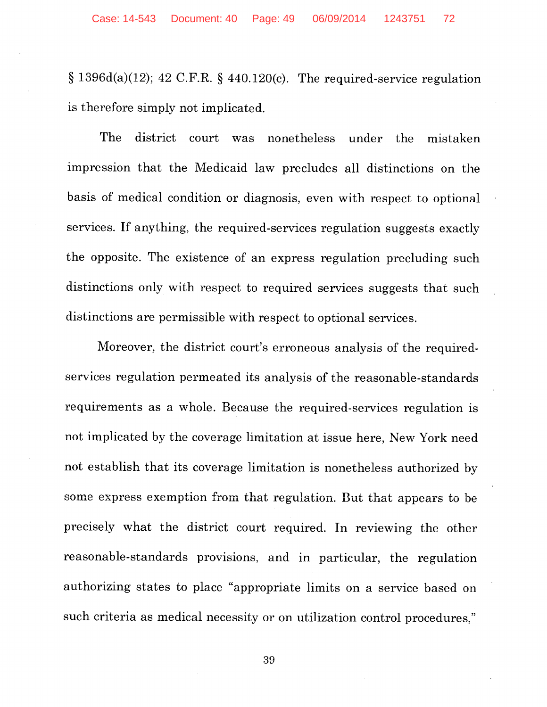§ 1396d(a)(12); 42 C.F.R. § 440.120(c). The required-service regulation is therefore simply not implicated.

The district court was nonetheless under the mistaken impression that the Medicaid law precludes all distinctions on the basis of medical condition or diagnosis, even with respect to optional services. If anything, the required-services regulation suggests exactly the opposite. The existence of an express regulation precluding such distinctions only with respect to required services suggests that such distinctions are permissible with respect to optional services.

Moreover, the district court's erroneous analysis of the requiredservices regulation permeated its analysis of the reasonable-standards requirements as a whole. Because the required-services regulation is not implicated by the coverage limitation at issue here, New York need not establish that its coverage limitation is nonetheless authorized by some express exemption from that regulation. But that appears to be precisely what the district court required. In reviewing the other reasonable-standards provisions, and in particular, the regulation authorizing states to place "appropriate limits on a service based on such criteria as medical necessity or on utilization control procedures,"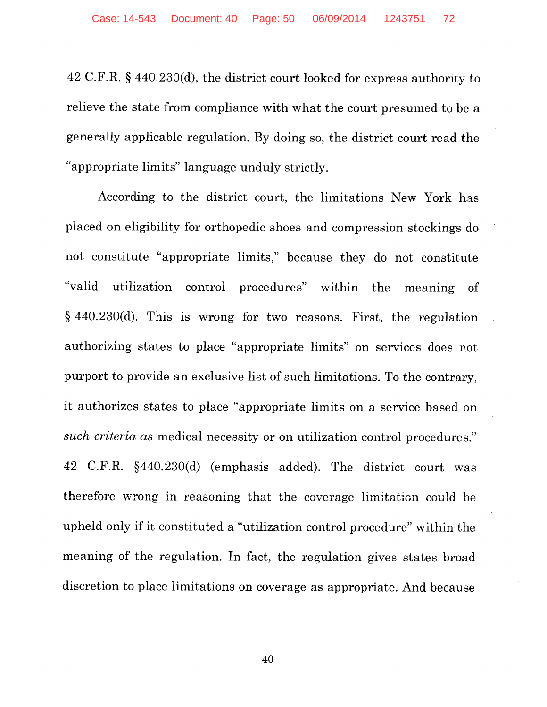42 C.F.R. § 440.230(d), the district court looked for express authority to relieve the state from compliance with what the court presumed to be a generally applicable regulation. By doing so, the district court read the "appropriate limits" language unduly strictly.

According to the district court, the limitations New York has placed on eligibility for orthopedic shoes and compression stockings do not constitute "appropriate limits," because they do not constitute "valid utilization control procedures" within the meaning of § 440.230(d). This is wrong for two reasons. First, the regulation authorizing states to place "appropriate limits" on services does not purport to provide an exclusive list of such limitations. To the contrary, it authorizes states to place "appropriate limits on a service based on *such criteria as* medical necessity or on utilization control procedures." 42 C.F.R. §440.230(d) (emphasis added). The district court was therefore wrong in reasoning that the coverage limitation could be upheld only if it constituted a "utilization control procedure" within the meaning of the regulation. In fact, the regulation gives states broad discretion to place limitations on coverage as appropriate. And because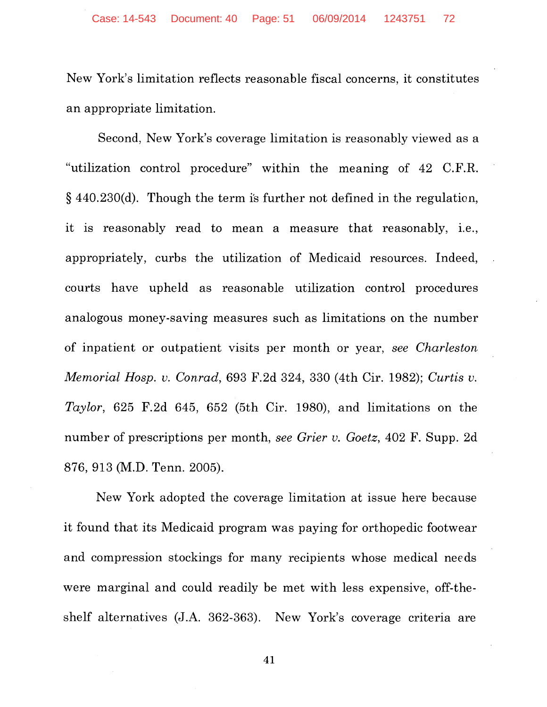New York's limitation reflects reasonable fiscal concerns, it constitutes an appropriate limitation.

Second, New York's coverage limitation is reasonably viewed as a "utilization control procedure" within the meaning of 42 C.F.R.  $§$  440.230(d). Though the term is further not defined in the regulation, it is reasonably read to mean a measure that reasonably, i.e., appropriately, curbs the utilization of Medicaid resources. Indeed, courts have upheld as reasonable utilization control procedures analogous money-saving measures such as limitations on the number of inpatient or outpatient visits per month or year, *see Charleston Memorial Hosp. v. Conrad,* 693 F.2d 324, 330 (4th Cir. 1982); *Curtis v. Taylor,* 625 F.2d 645, 652 (5th Cir. 1980), and limitations on the number of prescriptions per month, *see Grier v. Goetz,* 402 F. Supp. 2d 876, 913 (M.D. Tenn. 2005).

New York adopted the coverage limitation at issue here because it found that its Medicaid program was paying for orthopedic footwear and compression stockings for many recipients whose medical needs were marginal and could readily be met with less expensive, off-theshelf alternatives (J.A. 362-363). New York's coverage criteria are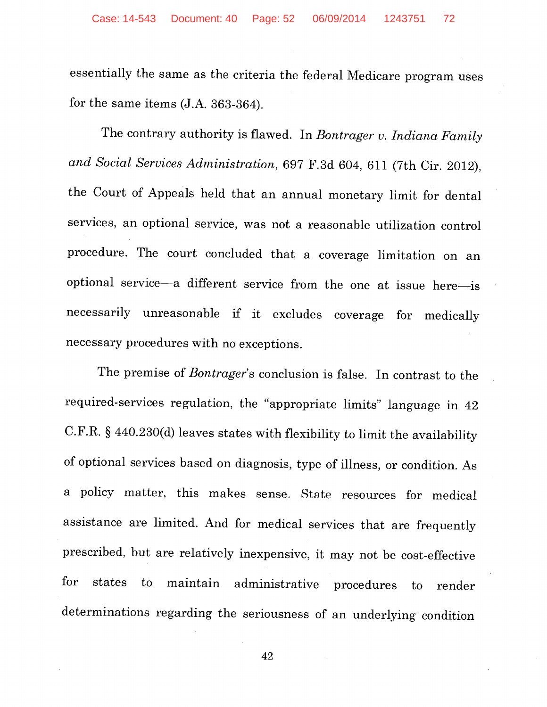essentially the same as the criteria the federal Medicare program uses for the same items (J.A. 363-364).

The contrary authority is flawed. In *Bontrager v. Indiana Family and Social Services Administration,* 697 F.3d 604, 611 (7th Cir. 2012), the Court of Appeals held that an annual monetary limit for dental services, an optional service, was not a reasonable utilization control procedure. The court concluded that a coverage limitation on an optional service-a different service from the one at issue here-is necessarily unreasonable if it excludes coverage for medically necessary procedures with no exceptions.

The premise of *Bontrager's* conclusion is false. In contrast to the required-services regulation, the "appropriate limits" language in 42 C.F.R. § 440.230(d) leaves states with flexibility to limit the availability of optional services based on diagnosis, type of illness, or condition. As a policy matter, this makes sense. State resources for medical assistance are limited. And for medical services that are frequently prescribed, but are relatively inexpensive, it may not be cost-effective for states to maintain administrative procedures to render determinations regarding the seriousness of an underlying condition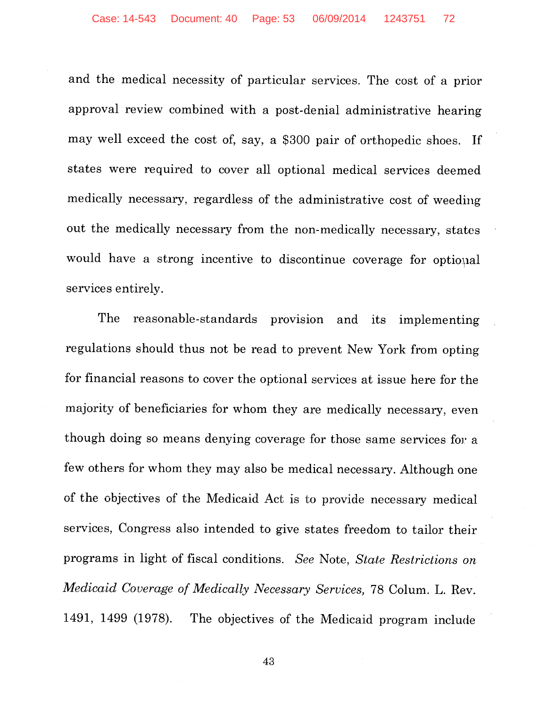and the medical necessity of particular services. The cost of a prior approval review combined with a post-denial administrative hearing may well exceed the cost of, say, a \$300 pair of orthopedic shoes. If states were required to cover all optional medical services deemed medically necessary, regardless of the administrative cost of weeding out the medically necessary from the non-medically necessary, states would have a strong incentive to discontinue coverage for optional services entirely.

The reasonable-standards provision and its implementing regulations should thus not be read to prevent New York from opting for financial reasons to cover the optional services at issue here for the majority of beneficiaries for whom they are medically necessary, even though doing so means denying coverage for those same services for a few others for whom they may also be medical necessary. Although one of the objectives of the Medicaid Act is to provide necessary medical services, Congress also intended to give states freedom to tailor their programs in light of fiscal conditions. *See* Note, *State Restrictions on Medicaid Coverage of Medically Necessary Services,* 78 Colum. L. Rev. 1491, 1499 (1978). The objectives of the Medicaid program include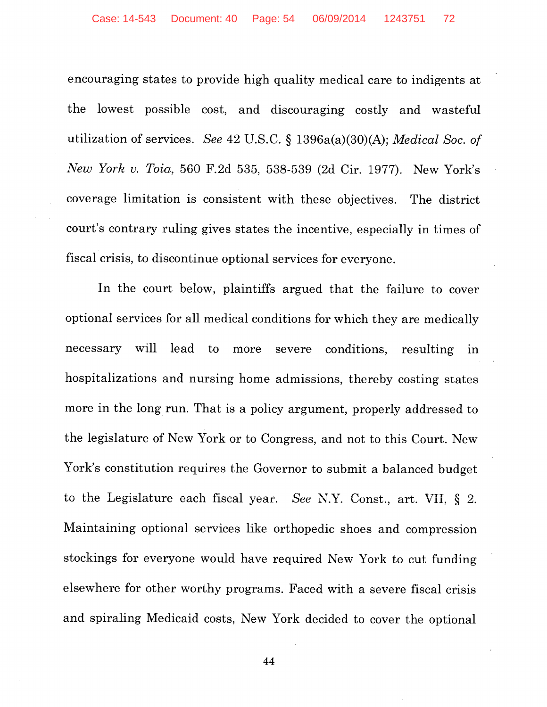encouraging states to provide high quality medical care to indigents at the lowest possible cost, and discouraging costly and wasteful utilization of services. *See* 42 U.S.C. § 1396a(a)(30)(A); *Medical Soc. of New York v. Toia,* 560 F.2d 535, 538-539 (2d Cir. 1977). New York's coverage limitation is consistent with these objectives. The district court's contrary ruling gives states the incentive, especially in times of fiscal crisis, to discontinue optional services for everyone.

In the court below, plaintiffs argued that the failure to cover optional services for all medical conditions for which they are medically necessary will lead to more severe conditions, resulting in hospitalizations and nursing home admissions, thereby costing states more in the long run. That is a policy argument, properly addressed to the legislature of New York or to Congress, and not to this Court. New York's constitution requires the Governor to submit a balanced budget to the Legislature each fiscal year. *See* N.Y. Const., art. VII, § 2. Maintaining optional services like orthopedic shoes and compression stockings for everyone would have required New York to cut funding elsewhere for other worthy programs. Faced with a severe fiscal crisis and spiraling Medicaid costs, New York decided to cover the optional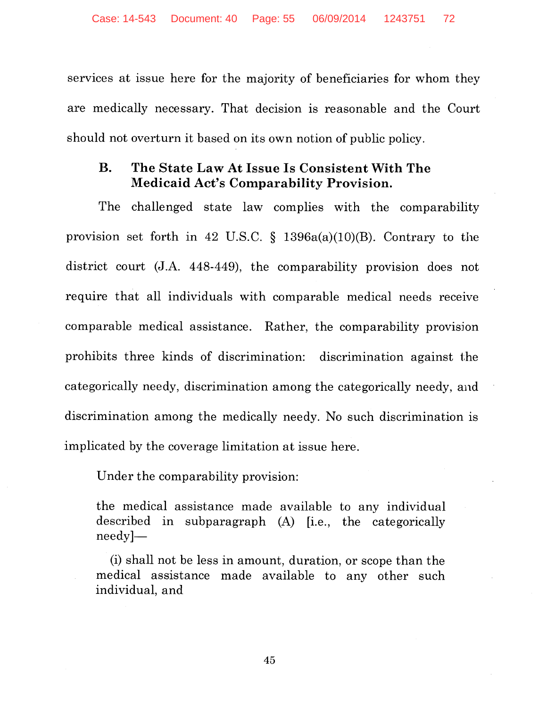services at issue here for the majority of beneficiaries for whom they are medically necessary. That decision is reasonable and the Court should not overturn it based on its own notion of public policy.

## **B. The State Law At Issue Is Consistent With The Medicaid Act's Comparability Provision.**

The challenged state law complies with the comparability provision set forth in 42 U.S.C.  $\S$  1396a(a)(10)(B). Contrary to the district court  $(J.A. 448-449)$ , the comparability provision does not require that all individuals with comparable medical needs receive comparable medical assistance. Rather, the comparability provision prohibits three kinds of discrimination: discrimination against the categorically needy, discrimination among the categorically needy, and discrimination among the medically needy. No such discrimination is implicated by the coverage limitation at issue here.

Under the comparability provision:

the medical assistance made available to any individual described in subparagraph (A) [i.e., the categorically needy]-

(i) shall not be less in amount, duration, or scope than the medical assistance made available to any other such individual, and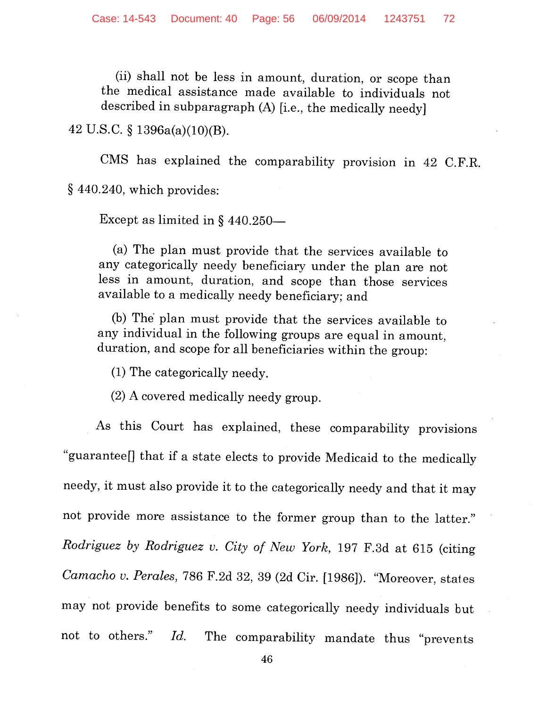(ii) shall not be less in amount, duration, or scope than the medical assistance made available to individuals not described in subparagraph (A) [i.e., the medically needy]

42 U.S.C.  $\S$  1396a(a)(10)(B).

CMS has explained the comparability provision in 42 C.F.R. § 440.240, which provides:

Except as limited in  $\S$  440.250-

(a) The plan must provide that the services available to any categorically needy beneficiary under the plan are not less in amount, duration, and scope than those services available to a medically needy beneficiary; and

(b) The' plan must provide that the services available to any individual in the following groups are equal in amount, duration, and scope for all beneficiaries within the group:

(1) The categorically needy.

(2) A covered medically needy group.

As this Court has explained, these comparability provisions "guarantee[] that if a state elects to provide Medicaid to the medically needy, it must also provide it to the categorically needy and that it may not provide more assistance to the former group than to the latter." *Rodriguez by Rodriguez v. City of New York,* 197 F.3d at 615 (citing *Camacho v. Perales,* 786 F.2d 32, 39 (2d Cir. [1986]). "Moreover, states may not provide benefits to some categorically needy individuals but not to others." *Id.* The comparability mandate thus "prevents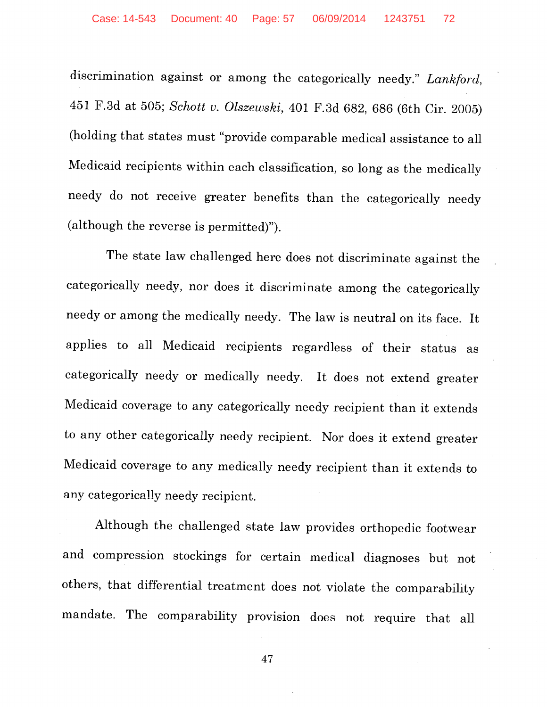discrimination against or among the categorically needy." *Lankford,*  451 F.3d at 505; *Schott v. Olszewski,* 401 F.3d 682, 686 (6th Cir. 2005) (holding that states must "provide comparable medical assistance to all Medicaid recipients within each classification, so long as the medically needy do not receive greater benefits than the categorically needy (although the reverse is permitted)").

The state law challenged here does not discriminate against the categorically needy, nor does it discriminate among the categorically needy or among the medically needy. The law is neutral on its face. It applies to all Medicaid recipients regardless of their status as categorically needy or medically needy. It does not extend greater Medicaid coverage to any categorically needy recipient than it extends to any other categorically needy recipient. Nor does it extend greater Medicaid coverage to any medically needy recipient than it extends to any categorically needy recipient.

Although the challenged state law provides orthopedic footwear and compression stockings for certain medical diagnoses but not others, that differential treatment does not violate the comparability mandate. The comparability provision does not require that all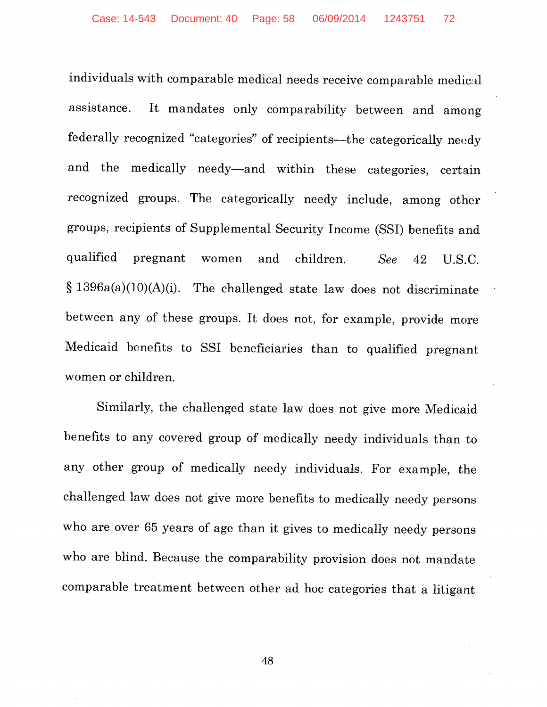individuals with comparable medical needs receive comparable medical assistance. It mandates only comparability between and among federally recognized "categories" of recipients-the categorically needy and the medically needy-and within these categories, certain recognized groups. The categorically needy include, among other groups, recipients of Supplemental Security Income (SSI) benefits and qualified pregnant women and children. *See* 42 U.S.C.  $§ 1396a(a)(10)(A)(i)$ . The challenged state law does not discriminate between any of these groups. It does not, for example, provide more Medicaid benefits to SSI beneficiaries than to qualified pregnant women or children.

Similarly, the challenged state law does not give more Medicaid benefits to any covered group of medically needy individuals than to any other group of medically needy individuals. For example, the challenged law does not give more benefits to medically needy persons who are over 65 years of age than it gives to medically needy persons who are blind. Because the comparability provision does not mandate comparable treatment between other ad hoc categories that a litigant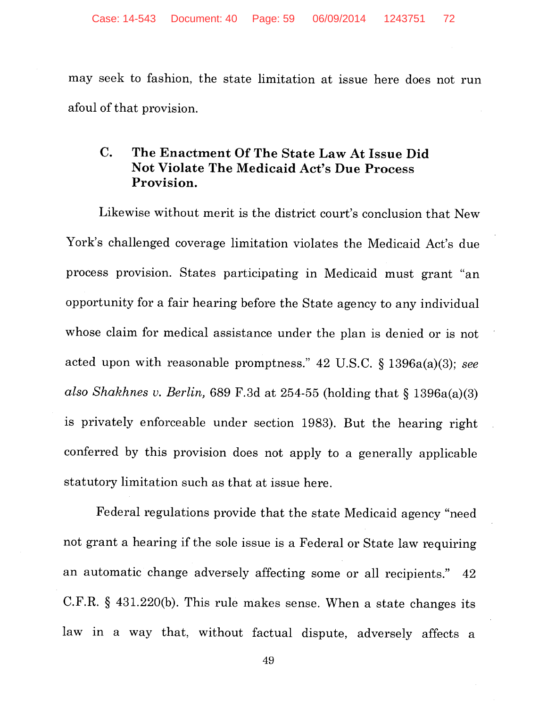may seek to fashion, the state limitation at issue here does not run afoul of that provision.

## **C. The Enactment Of The State Law At Issue Did Not Violate The Medicaid Act's Due Process Provision.**

Likewise without merit is the district court's conclusion that New York's challenged coverage limitation violates the Medicaid Act's due process provision. States participating in Medicaid must grant "an opportunity for a fair hearing before the State agency to any individual whose claim for medical assistance under the plan is denied or is not acted upon with reasonable promptness." 42 U.S.C. § 1396a(a)(3); *see also Shakhnes v. Berlin,* 689 F.3d at 254-55 (holding that § 1396a(a)(3) is privately enforceable under section 1983). But the hearing right conferred by this provision does not apply to a generally applicable statutory limitation such as that at issue here.

Federal regulations provide that the state Medicaid agency "need not grant a hearing if the sole issue is a Federal or State law requiring an automatic change adversely affecting some or all recipients." 42 C.F.R. § 431.220(b). This rule makes sense. When a state changes its law in a way that, without factual dispute, adversely affects a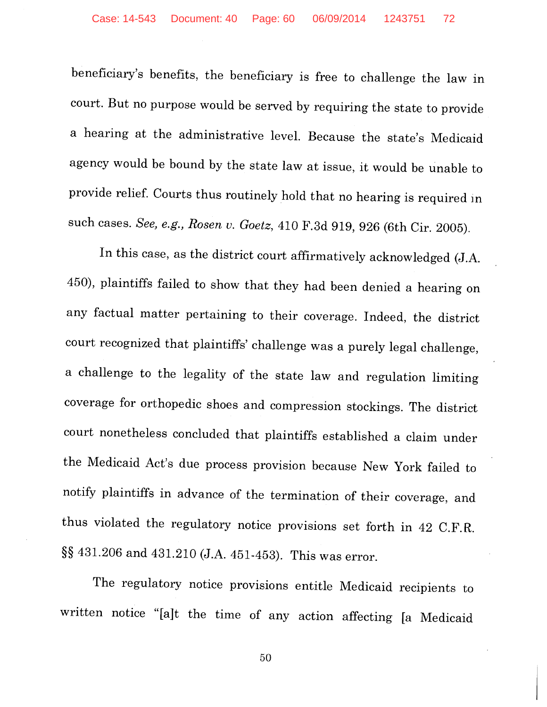beneficiary's benefits, the beneficiary is free to challenge the law in court. But no purpose would be served by requiring the state to provide a hearing at the administrative level. Because the state's Medicaid agency would be bound by the state law at issue, it would be unable to provide relief. Courts thus routinely hold that no hearing is required in such cases. *See, e.g., Rosen u. Goetz,* 410 F.3d 919, 926 (6th Cir. 2005).

In this case, as the district court affirmatively acknowledged (J.A. 450), plaintiffs failed to show that they had been denied a hearing on any factual matter pertaining to their coverage. Indeed, the district court recognized that plaintiffs' challenge was a purely legal challenge, a challenge to the legality of the state law and regulation limiting coverage for orthopedic shoes and compression stockings. The district court nonetheless concluded that plaintiffs established a claim under the Medicaid Act's due process provision because New York failed to notify plaintiffs in advance of the termination of their coverage, and thus violated the regulatory notice provisions set forth in 42 C.F.R. §§ 431.206 and 431.210 (J.A. 451-453). This was error.

The regulatory notice provisions entitle Medicaid recipients to written notice "[a]t the time of any action affecting [a Medicaid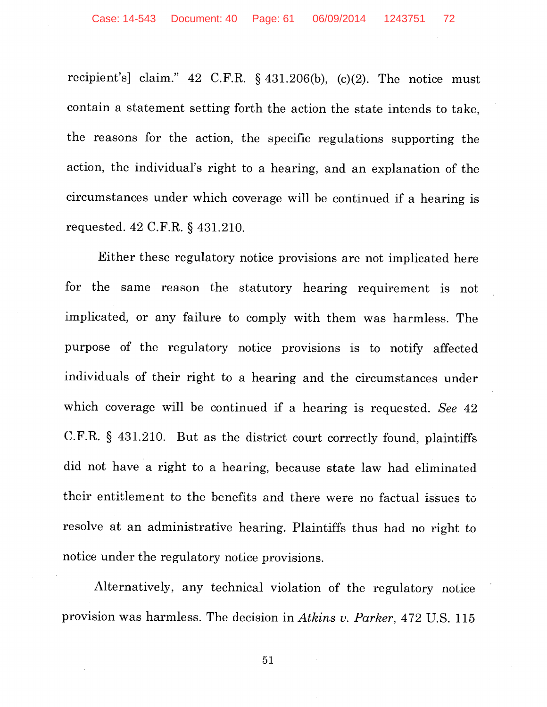recipient's] claim." 42 C.F.R. § 431.206(b), (c)(2). The notice must contain a statement setting forth the action the state intends to take, the reasons for the action, the specific regulations supporting the action, the individual's right to a hearing, and an explanation of the circumstances under which coverage will be continued if a hearing is requested. 42 C.F.R. § 431.210.

Either these regulatory notice provisions are not implicated here for the same reason the statutory hearing requirement is not implicated, or any failure to comply with them was harmless. The purpose of the regulatory notice provisions is to notify affected individuals of their right to a hearing and the circumstances under which coverage will be continued if a hearing is requested. *See* 42 C.F.R. § 431.210. But as the district court correctly found, plaintiffs did not have a right to a hearing, because state law had eliminated their entitlement to the benefits and there were no factual issues to resolve at an administrative hearing. Plaintiffs thus had no right to notice under the regulatory notice provisions.

Alternatively, any technical violation of the regulatory notice provision was harmless. The decision in *Atkins v. Parker*, 472 U.S. 115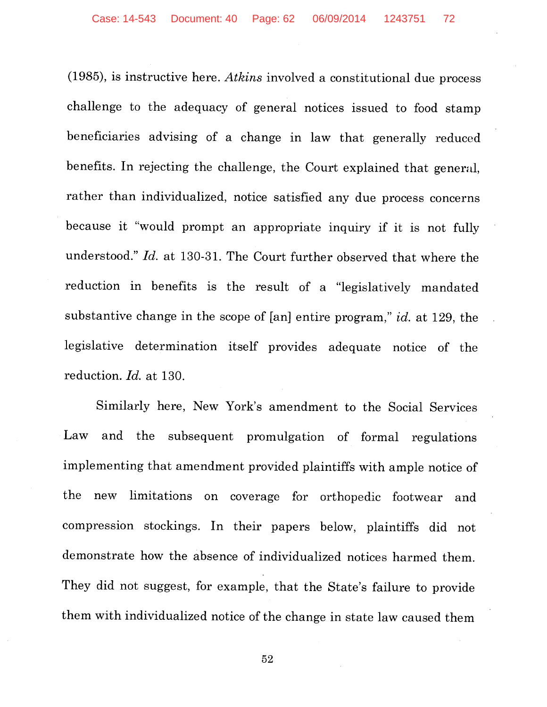(1985), is instructive here. *Atkins* involved a constitutional due process challenge to the adequacy of general notices issued to food stamp beneficiaries advising of a change in law that generally reduced benefits. In rejecting the challenge, the Court explained that general, rather than individualized, notice satisfied any due process concerns because it "would prompt an appropriate inquiry if it is not fully understood." *Id.* at 130-31. The Court further observed that where the reduction in benefits is the result of a "legislatively mandated substantive change in the scope of [an] entire program," id. at 129, the legislative determination itself provides adequate notice of the reduction. *Id.* at 130.

Similarly here, New York's amendment to the Social Services Law and the subsequent promulgation of formal regulations implementing that amendment provided plaintiffs with ample notice of the new limitations on coverage for orthopedic footwear and compression stockings. In their papers below, plaintiffs did not demonstrate how the absence of individualized notices harmed them. They did not suggest, for example, that the State's failure to provide them with individualized notice of the change in state law caused them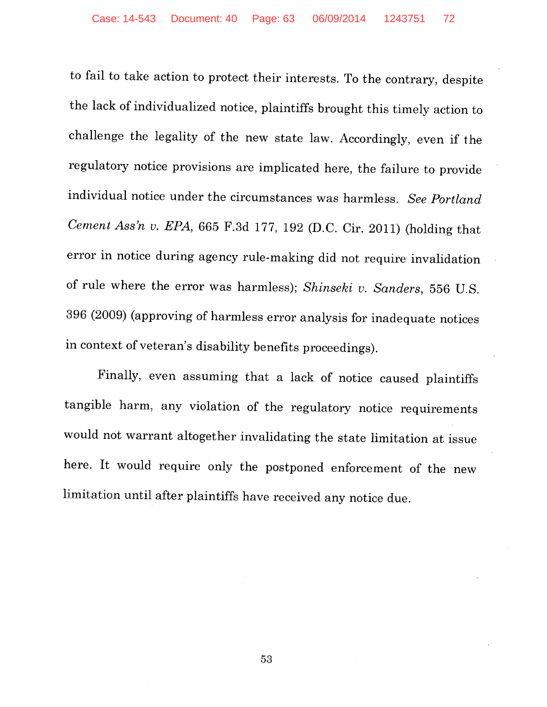to fail to take action to protect their interests. To the contrary, despite the lack of individualized notice, plaintiffs brought this timely action to challenge the legality of the new state law. Accordingly, even if the regulatory notice provisions are implicated here, the failure to provide individual notice under the circumstances was harmless. *See Portland Cement Ass'n v. EPA,* 665 F.3d 177, 192 (D.C. Cir. 2011) (holding that error in notice during agency rule-making did not require invalidation of rule where the error was harmless); *Shinseki v. Sanders,* 556 U.S. 396 (2009) (approving of harmless error analysis for inadequate notices in context of veteran's disability benefits proceedings).

Finally, even assuming that a lack of notice caused plaintiffs tangible harm, any violation of the regulatory notice requirements would not warrant altogether invalidating the state limitation at issue here. It would require only the postponed enforcement of the new limitation until after plaintiffs have received any notice due.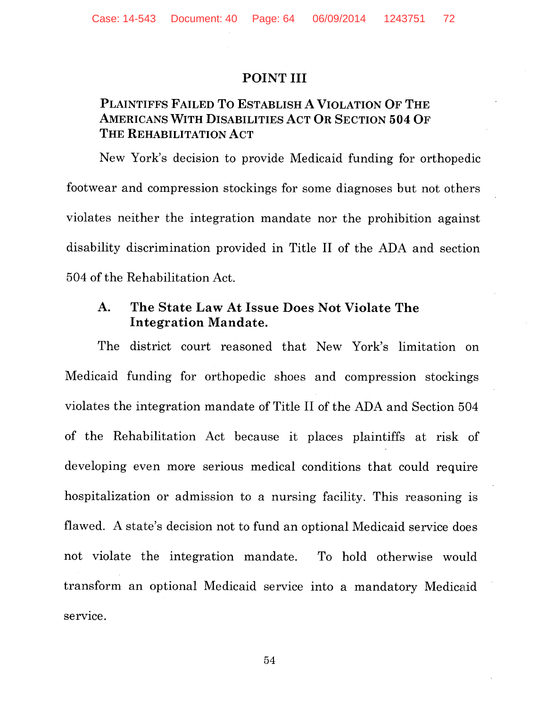### POINT III

## PLAINTIFFS FAILED To ESTABLISH A VIOLATION OF THE AMERICANS WITH DISABILITIES ACT OR SECTION 504 OF THE REHABILITATION ACT

New York's decision to provide Medicaid funding for orthopedic footwear and compression stockings for some diagnoses but not others violates neither the integration mandate nor the prohibition against disability discrimination provided in Title II of the ADA and section 504 of the Rehabilitation Act.

## A. The State Law At Issue Does Not Violate The Integration Mandate.

The district court reasoned that New York's limitation on Medicaid funding for orthopedic shoes and compression stockings violates the integration mandate of Title II of the ADA and Section 504 of the Rehabilitation Act because it places plaintiffs at risk of developing even more serious medical conditions that could require hospitalization or admission to a nursing facility. This reasoning is flawed. A state's decision not to fund an optional Medicaid service does not violate the integration mandate. To hold otherwise would transform an optional Medicaid service into a mandatory Medicaid service.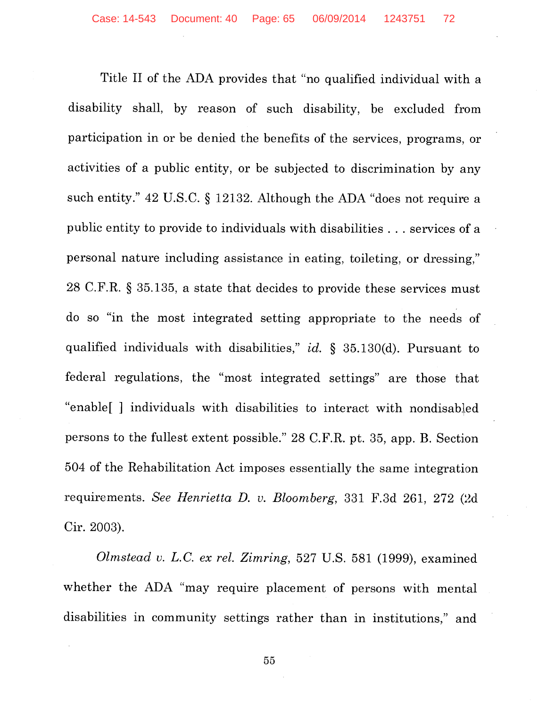Title II of the ADA provides that "no qualified individual with a disability shall, by reason of such disability, be excluded from participation in or be denied the benefits of the services, programs, or activities of a public entity, or be subjected to discrimination by any such entity." 42 U.S.C. § 12132. Although the ADA "does not require a public entity to provide to individuals with disabilities ... services of a personal nature including assistance in eating, toileting, or dressing," 28 C.F.R. § 35.135, a state that decides to provide these services must do so "in the most integrated setting appropriate to the needs of qualified individuals with disabilities," *id.* § 35.130(d). Pursuant to federal regulations, the "most integrated settings" are those that "enable[ ] individuals with disabilities to interact with nondisabled persons to the fullest extent possible." 28 C.F.R. pt. 35, app. B. Section 504 of the Rehabilitation Act imposes essentially the same integration requirements. See Henrietta D. v. Bloomberg, 331 F.3d 261, 272 (2d Cir. 2003).

*Olmstead v. L.C. ex rel. Zimring,* 527 U.S. 581 (1999), examined whether the ADA "may require placement of persons with mental disabilities in community settings rather than in institutions," and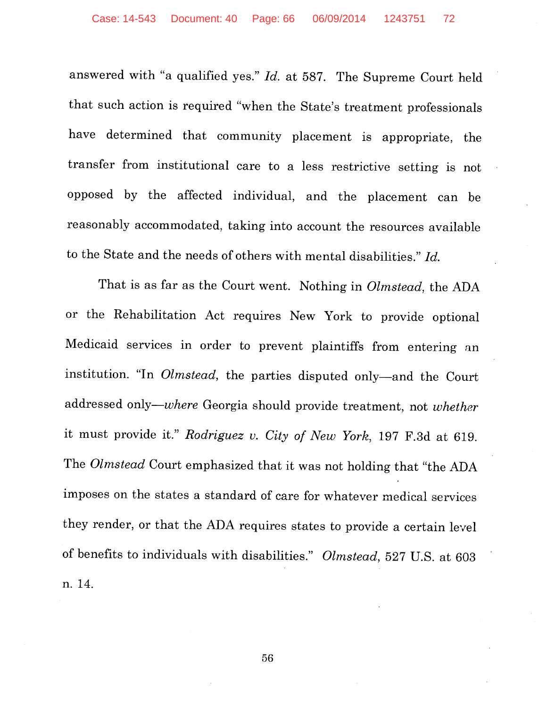answered with "a qualified yes." *Id.* at 587. The Supreme Court held that such action is required "when the State's treatment professionals have determined that community placement is appropriate, the transfer from institutional care to a less restrictive setting is not opposed by the affected individual, and the placement can be reasonably accommodated, taking into account the resources available to the State and the needs of others with mental disabilities." *Id.* 

That is as far as the Court went. Nothing in *Olmstead,* the ADA or the Rehabilitation Act requires New York to provide optional Medicaid services in order to prevent plaintiffs from entering an institution. "In *Olmstead,* the parties disputed only-and the Court addressed *only-where* Georgia should provide treatment, not *whether*  it must provide it." *Rodriguez v. City of New York,* 197 F.3d at 619. The *Olmstead* Court emphasized that it was not holding that "the ADA imposes on the states a standard of care for whatever medical services they render, or that the ADA requires states to provide a certain level of benefits to individuals with disabilities." *Olmstead,* 527 U.S. at 603 n. 14.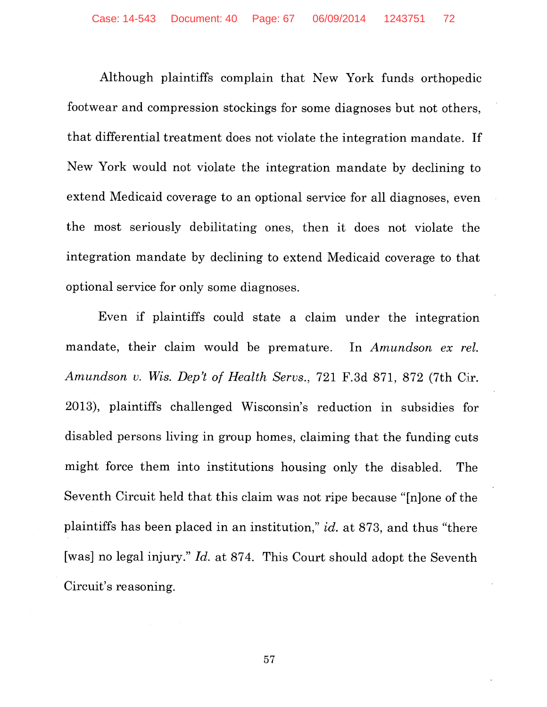Although plaintiffs complain that New York funds orthopedic footwear and compression stockings for some diagnoses but not others, that differential treatment does not violate the integration mandate. If New York would not violate the integration mandate by declining to extend Medicaid coverage to an optional service for all diagnoses, even the most seriously debilitating ones, then it does not violate the integration mandate by declining to extend Medicaid coverage to that optional service for only some diagnoses.

Even if plaintiffs could state a claim under the integration mandate, their claim would be premature. In *Amundson ex rel. Amundson v. Wis. Dep't of Health Servs.,* 721 F.3d 871, 872 (7th Cir. 2013), plaintiffs challenged Wisconsin's reduction in subsidies for disabled persons living in group homes, claiming that the funding cuts might force them into institutions housing only the disabled. The Seventh Circuit held that this claim was not ripe because "[n]one of the plaintiffs has been placed in an institution," *id.* at 873, and thus "there [was] no legal injury." *Id.* at 874. This Court should adopt the Seventh Circuit's reasoning.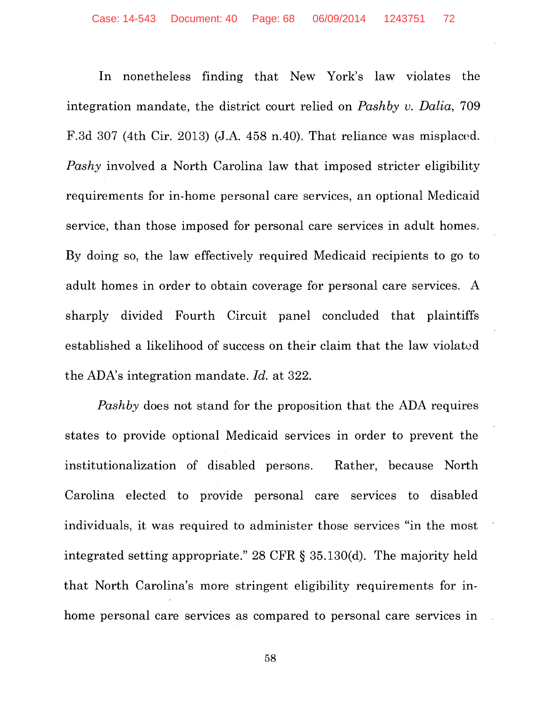In nonetheless finding that New York's law violates the integration mandate, the district court relied on *Pashby v. Dalia,* 709 F.3d 307 (4th Cir. 2013) (J.A. 458 n.40). That reliance was misplaced. *Pashy* involved a North Carolina law that imposed stricter eligibility requirements for in-home personal care services, an optional Medicaid service, than those imposed for personal care services in adult homes. By doing so, the law effectively required Medicaid recipients to go to adult homes in order to obtain coverage for personal care services. A sharply divided Fourth Circuit panel concluded that plaintiffs established a likelihood of success on their claim that the law violated the ADA's integration mandate. *Id.* at 322.

*Pashby* does not stand for the proposition that the ADA requires states to provide optional Medicaid services in order to prevent the institutionalization of disabled persons. Rather, because North Carolina elected to provide personal care services to disabled individuals, it was required to administer those services "in the most integrated setting appropriate." 28 CFR § 35.130(d). The majority held that North Carolina's more stringent eligibility requirements for inhome personal care services as compared to personal care services in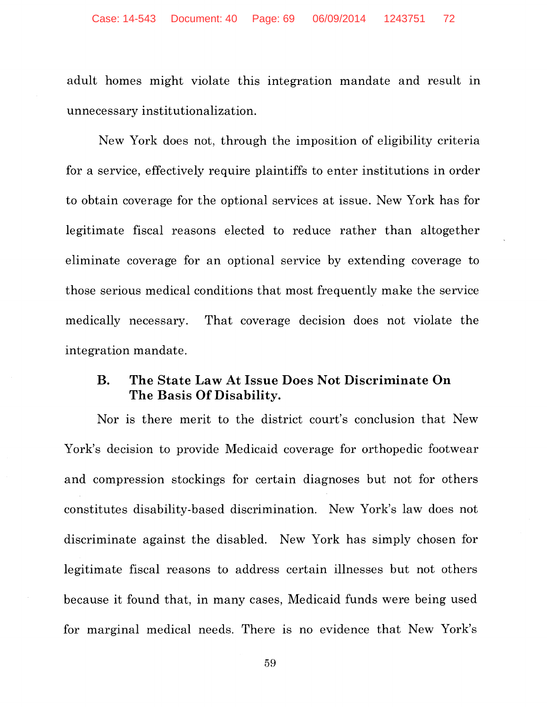adult homes might violate this integration mandate and result in unnecessary institutionalization.

New York does not, through the imposition of eligibility criteria for a service, effectively require plaintiffs to enter institutions in order to obtain coverage for the optional services at issue. New York has for legitimate fiscal reasons elected to reduce rather than altogether eliminate coverage for an optional service by extending coverage to those serious medical conditions that most frequently make the service medically necessary. That coverage decision does not violate the integration mandate.

## **B. The State Law At Issue Does Not Discriminate On The Basis Of Disability.**

Nor is there merit to the district court's conclusion that New York's decision to provide Medicaid coverage for orthopedic footwear and compression stockings for certain diagnoses but not for others constitutes disability-based discrimination. New York's law does not discriminate against the disabled. New York has simply chosen for legitimate fiscal reasons to address certain illnesses but not others because it found that, in many cases, Medicaid funds were being used for marginal medical needs. There is no evidence that New York's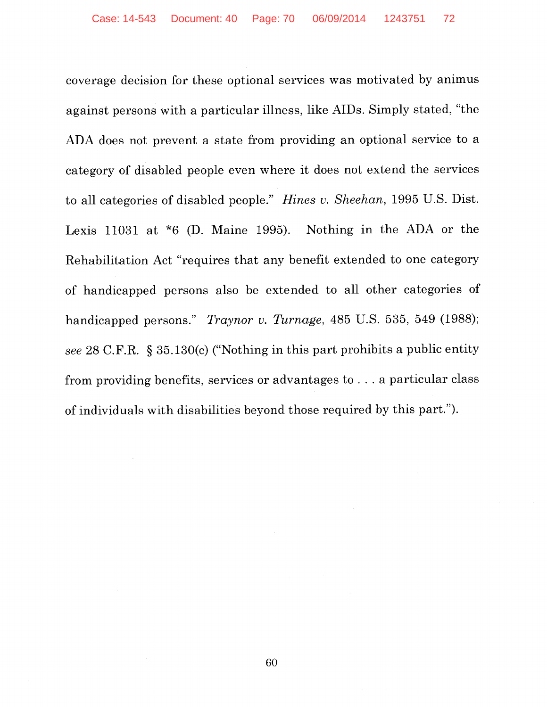coverage decision for these optional services was motivated by animus against persons with a particular illness, like AIDs. Simply stated, "the ADA does not prevent a state from providing an optional service to a category of disabled people even where it does not extend the services to all categories of disabled people." *Hines v. Sheehan,* 1995 U.S. Dist. Lexis 11031 at \*6 (D. Maine 1995). Nothing in the ADA or the Rehabilitation Act "requires that any benefit extended to one category of handicapped persons also be extended to all other categories of handicapped persons." *Traynor v. Turnage,* 485 U.S. 535, 549 (1988); *see* 28 C.F.R. § 35.130(c) ("Nothing in this part prohibits a public entity from providing benefits, services or advantages to ... a particular class of individuals with disabilities beyond those required by this part.").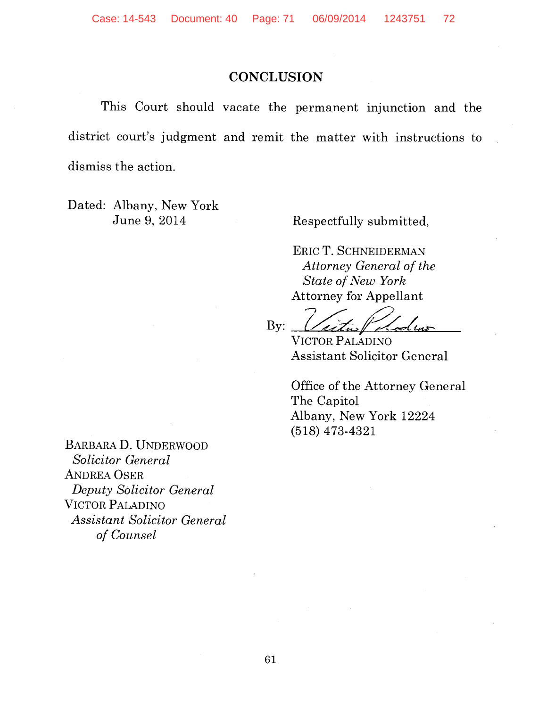## **CONCLUSION**

This Court should vacate the permanent injunction and the district court's judgment and remit the matter with instructions to dismiss the action.

Dated: Albany, New York June 9, 2014

Respectfully submitted,

ERIC T. SCHNEIDERMAN *Attorney General of the State of New York* 

Attorney for Appellant<br>By:  $\frac{1}{\sqrt{4\pi}}\sqrt{\frac{2}{\sqrt{4\pi}}}$ 

VICTOR PALADINO Assistant Solicitor General

Office of the Attorney General The Capitol Albany, New York 12224 (518) 473-4321

BARBARAD. UNDERWOOD *Solicitor General*  ANDREA OSER *Deputy Solicitor General*  VICTOR PALADINO *Assistant Solicitor General of Counsel*